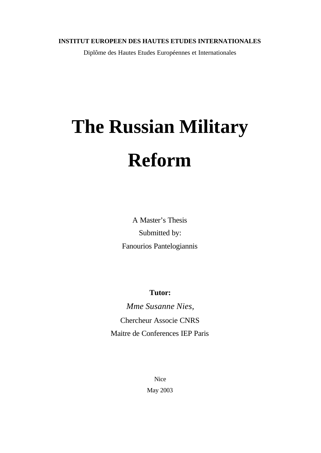#### **INSTITUT EUROPEEN DES HAUTES ETUDES INTERNATIONALES**

Diplôme des Hautes Etudes Européennes et Internationales

# **The Russian Military Reform**

A Master's Thesis Submitted by: Fanourios Pantelogiannis

**Tutor:**

*Mme Susanne Nies,* Chercheur Associe CNRS Maitre de Conferences IEP Paris

> Nice May 2003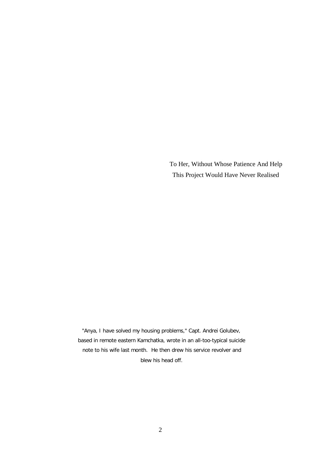To Her, Without Whose Patience And Help This Project Would Have Never Realised

*"Anya, I have solved my housing problems," Capt. Andrei Golubev, based in remote eastern Kamchatka, wrote in an all-too-typical suicide note to his wife last month. He then drew his service revolver and blew his head off.*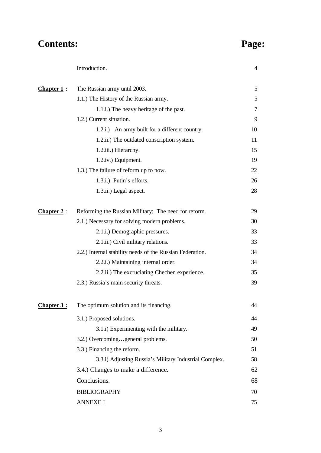# **Contents: Page:**

| 5<br>5<br>7<br>9 |
|------------------|
|                  |
|                  |
|                  |
|                  |
| 10               |
| 11               |
| 15               |
| 19               |
| 22               |
| 26               |
| 28               |
| 29               |
| 30               |
| 33               |
| 33               |
| 34               |
| 34               |
| 35               |
| 39               |
| 44               |
| 44               |
| 49               |
| 50               |
| 51               |
| 58               |
| 62               |
| 68               |
| 70               |
| 75               |
|                  |

Introduction. 4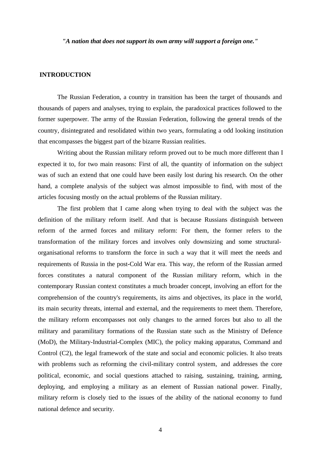*"A nation that does not support its own army will support a foreign one."*

#### **INTRODUCTION**

The Russian Federation, a country in transition has been the target of thousands and thousands of papers and analyses, trying to explain, the paradoxical practices followed to the former superpower. The army of the Russian Federation, following the general trends of the country, disintegrated and resolidated within two years, formulating a odd looking institution that encompasses the biggest part of the bizarre Russian realities.

Writing about the Russian military reform proved out to be much more different than I expected it to, for two main reasons: First of all, the quantity of information on the subject was of such an extend that one could have been easily lost during his research. On the other hand, a complete analysis of the subject was almost impossible to find, with most of the articles focusing mostly on the actual problems of the Russian military.

The first problem that I came along when trying to deal with the subject was the definition of the military reform itself. And that is because Russians distinguish between reform of the armed forces and military reform: For them, the former refers to the transformation of the military forces and involves only downsizing and some structuralorganisational reforms to transform the force in such a way that it will meet the needs and requirements of Russia in the post-Cold War era. This way, the reform of the Russian armed forces constitutes a natural component of the Russian military reform, which in the contemporary Russian context constitutes a much broader concept, involving an effort for the comprehension of the country's requirements, its aims and objectives, its place in the world, its main security threats, internal and external, and the requirements to meet them. Therefore, the military reform encompasses not only changes to the armed forces but also to all the military and paramilitary formations of the Russian state such as the Ministry of Defence (MoD), the Military-Industrial-Complex (MIC), the policy making apparatus, Command and Control (C2), the legal framework of the state and social and economic policies. It also treats with problems such as reforming the civil-military control system, and addresses the core political, economic, and social questions attached to raising, sustaining, training, arming, deploying, and employing a military as an element of Russian national power. Finally, military reform is closely tied to the issues of the ability of the national economy to fund national defence and security.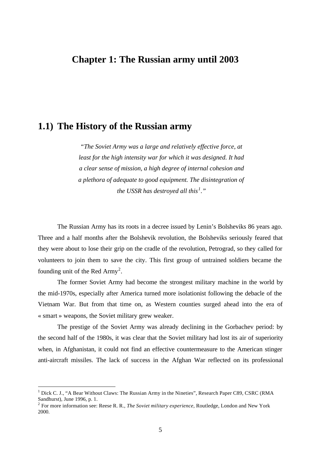#### **Chapter 1: The Russian army until 2003**

#### **1.1) The History of the Russian army**

*"The Soviet Army was a large and relatively effective force, at least for the high intensity war for which it was designed. It had a clear sense of mission, a high degree of internal cohesion and a plethora of adequate to good equipment. The disintegration of the USSR has destroyed all this<sup>1</sup> ."*

The Russian Army has its roots in a decree issued by Lenin's Bolsheviks 86 years ago. Three and a half months after the Bolshevik revolution, the Bolsheviks seriously feared that they were about to lose their grip on the cradle of the revolution, Petrograd, so they called for volunteers to join them to save the city. This first group of untrained soldiers became the founding unit of the Red  $Army^2$ .

The former Soviet Army had become the strongest military machine in the world by the mid-1970s, especially after America turned more isolationist following the debacle of the Vietnam War. But from that time on, as Western counties surged ahead into the era of « smart » weapons, the Soviet military grew weaker.

The prestige of the Soviet Army was already declining in the Gorbachev period: by the second half of the 1980s, it was clear that the Soviet military had lost its air of superiority when, in Afghanistan, it could not find an effective countermeasure to the American stinger anti-aircraft missiles. The lack of success in the Afghan War reflected on its professional

 $<sup>1</sup>$  Dick C. J., "A Bear Without Claws: The Russian Army in the Nineties", Research Paper C89, CSRC (RMA)</sup> Sandhurst), June 1996, p. 1.

<sup>&</sup>lt;sup>2</sup> For more information see: Reese R. R., *The Soviet military experience*, Routledge, London and New York 2000.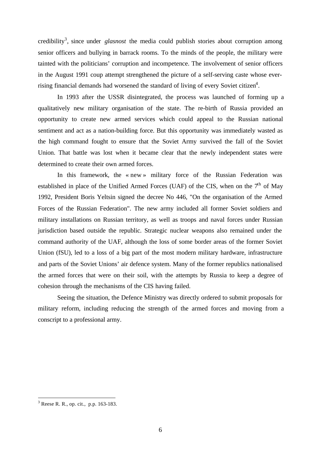credibility<sup>3</sup>, since under *glasnost* the media could publish stories about corruption among senior officers and bullying in barrack rooms. To the minds of the people, the military were tainted with the politicians' corruption and incompetence. The involvement of senior officers in the August 1991 coup attempt strengthened the picture of a self-serving caste whose everrising financial demands had worsened the standard of living of every Soviet citizen<sup>4</sup>.

In 1993 after the USSR disintegrated, the process was launched of forming up a qualitatively new military organisation of the state. The re-birth of Russia provided an opportunity to create new armed services which could appeal to the Russian national sentiment and act as a nation-building force. But this opportunity was immediately wasted as the high command fought to ensure that the Soviet Army survived the fall of the Soviet Union. That battle was lost when it became clear that the newly independent states were determined to create their own armed forces.

In this framework, the « new » military force of the Russian Federation was established in place of the Unified Armed Forces (UAF) of the CIS, when on the  $7<sup>th</sup>$  of May 1992, President Boris Yeltsin signed the decree No 446, "On the organisation of the Armed Forces of the Russian Federation". The new army included all former Soviet soldiers and military installations on Russian territory, as well as troops and naval forces under Russian jurisdiction based outside the republic. Strategic nuclear weapons also remained under the command authority of the UAF, although the loss of some border areas of the former Soviet Union (fSU), led to a loss of a big part of the most modern military hardware, infrastructure and parts of the Soviet Unions' air defence system. Many of the former republics nationalised the armed forces that were on their soil, with the attempts by Russia to keep a degree of cohesion through the mechanisms of the CIS having failed.

Seeing the situation, the Defence Ministry was directly ordered to submit proposals for military reform, including reducing the strength of the armed forces and moving from a conscript to a professional army.

<sup>3</sup> Reese R. R., op. cit., p.p. 163-183.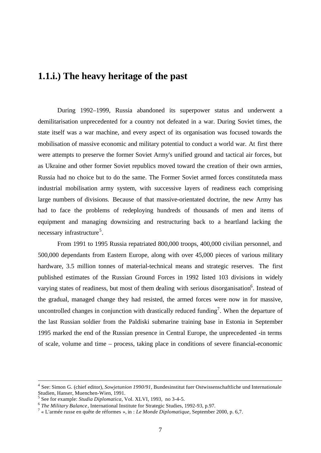#### **1.1.i.) The heavy heritage of the past**

During 1992–1999, Russia abandoned its superpower status and underwent a demilitarisation unprecedented for a country not defeated in a war. During Soviet times, the state itself was a war machine, and every aspect of its organisation was focused towards the mobilisation of massive economic and military potential to conduct a world war. At first there were attempts to preserve the former Soviet Army's unified ground and tactical air forces, but as Ukraine and other former Soviet republics moved toward the creation of their own armies, Russia had no choice but to do the same. The Former Soviet armed forces constituteda mass industrial mobilisation army system, with successive layers of readiness each comprising large numbers of divisions. Because of that massive-orientated doctrine, the new Army has had to face the problems of redeploying hundreds of thousands of men and items of equipment and managing downsizing and restructuring back to a heartland lacking the necessary infrastructure<sup>5</sup>.

From 1991 to 1995 Russia repatriated 800,000 troops, 400,000 civilian personnel, and 500,000 dependants from Eastern Europe, along with over 45,000 pieces of various military hardware, 3.5 million tonnes of material-technical means and strategic reserves. The first published estimates of the Russian Ground Forces in 1992 listed 103 divisions in widely varying states of readiness, but most of them dealing with serious disorganisation<sup>6</sup>. Instead of the gradual, managed change they had resisted, the armed forces were now in for massive, uncontrolled changes in conjunction with drastically reduced funding<sup>7</sup>. When the departure of the last Russian soldier from the Paldiski submarine training base in Estonia in September 1995 marked the end of the Russian presence in Central Europe, the unprecedented -in terms of scale, volume and time – process, taking place in conditions of severe financial-economic

<sup>4</sup> See: Simon G. (chief editor), *Sowjetunion 1990/91*, Bundesinstitut fuer Ostwissenschaftliche und Internationale Studien, Hanser, Muenchen-Wien, 1991.

<sup>5</sup> See for example: *Studia Diplomatica*, Vol. XLVI, 1993, no 3-4-5.

<sup>6</sup> *The Military Balance*, International Institute for Strategic Studies, 1992-93, p.97.

<sup>7</sup> « L'armée russe en quête de réformes », in : *Le Monde Diplomatique*, September 2000, p. 6,7.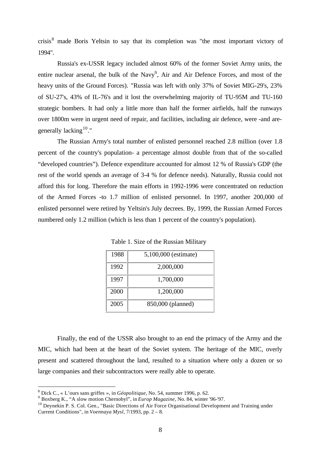crisis<sup>8</sup> made Boris Yeltsin to say that its completion was "the most important victory of 1994".

Russia's ex-USSR legacy included almost 60% of the former Soviet Army units, the entire nuclear arsenal, the bulk of the Navy<sup>9</sup>, Air and Air Defence Forces, and most of the heavy units of the Ground Forces). "Russia was left with only 37% of Soviet MIG-29's, 23% of SU-27's, 43% of IL-76's and it lost the overwhelming majority of TU-95M and TU-160 strategic bombers. It had only a little more than half the former airfields, half the runways over 1800m were in urgent need of repair, and facilities, including air defence, were -and aregenerally lacking  $10$ ."

The Russian Army's total number of enlisted personnel reached 2.8 million (over 1.8 percent of the country's population- a percentage almost double from that of the so-called "developed countries"). Defence expenditure accounted for almost 12 % of Russia's GDP (the rest of the world spends an average of 3-4 % for defence needs). Naturally, Russia could not afford this for long. Therefore the main efforts in 1992-1996 were concentrated on reduction of the Armed Forces -to 1.7 million of enlisted personnel. In 1997, another 200,000 of enlisted personnel were retired by Yeltsin's July decrees. By, 1999, the Russian Armed Forces numbered only 1.2 million (which is less than 1 percent of the country's population).

| 1988 | 5,100,000 (estimate) |
|------|----------------------|
| 1992 | 2,000,000            |
| 1997 | 1,700,000            |
| 2000 | 1,200,000            |
| 2005 | 850,000 (planned)    |

Table 1. Size of the Russian Military

Finally, the end of the USSR also brought to an end the primacy of the Army and the MIC, which had been at the heart of the Soviet system. The heritage of the MIC, overly present and scattered throughout the land, resulted to a situation where only a dozen or so large companies and their subcontractors were really able to operate.

<sup>8</sup> Dick C., « L'ours sans griffes », in *Géopolitique*, No. 54, summer 1996, p. 62.

<sup>9</sup> Boxberg K., "A slow motion Chernobyl", in *Europ Magazine*, No. 84, winter '96-'97.

 $10$  Deynekin P. S. Col. Gen., "Basic Directions of Air Force Organisational Development and Training under Current Conditions", in *Voennaya Mysl*, 7/1993, pp. 2 – 8.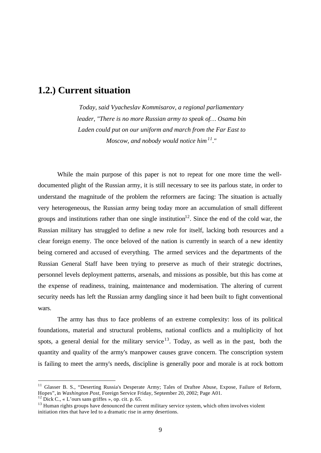#### **1.2.) Current situation**

*Today, said Vyacheslav Kommisarov, a regional parliamentary leader, "There is no more Russian army to speak of… Osama bin Laden could put on our uniform and march from the Far East to Moscow, and nobody would notice him<sup>11</sup>."*

While the main purpose of this paper is not to repeat for one more time the welldocumented plight of the Russian army, it is still necessary to see its parlous state, in order to understand the magnitude of the problem the reformers are facing: The situation is actually very heterogeneous, the Russian army being today more an accumulation of small different groups and institutions rather than one single institution<sup>12</sup>. Since the end of the cold war, the Russian military has struggled to define a new role for itself, lacking both resources and a clear foreign enemy. The once beloved of the nation is currently in search of a new identity being cornered and accused of everything. The armed services and the departments of the Russian General Staff have been trying to preserve as much of their strategic doctrines, personnel levels deployment patterns, arsenals, and missions as possible, but this has come at the expense of readiness, training, maintenance and modernisation. The altering of current security needs has left the Russian army dangling since it had been built to fight conventional wars.

The army has thus to face problems of an extreme complexity: loss of its political foundations, material and structural problems, national conflicts and a multiplicity of hot spots, a general denial for the military service<sup>13</sup>. Today, as well as in the past, both the quantity and quality of the army's manpower causes grave concern. The conscription system is failing to meet the army's needs, discipline is generally poor and morale is at rock bottom

<sup>&</sup>lt;sup>11</sup> Glasser B. S., "Deserting Russia's Desperate Army; Tales of Draftee Abuse, Expose, Failure of Reform, Hopes", in *Washington Post*, Foreign Service Friday, September 20, 2002; Page A01.

<sup>&</sup>lt;sup>12</sup> Dick C., « L'ours sans griffes », op. cit. p. 65.

<sup>&</sup>lt;sup>13</sup> Human rights groups have denounced the current military service system, which often involves violent initiation rites that have led to a dramatic rise in army desertions.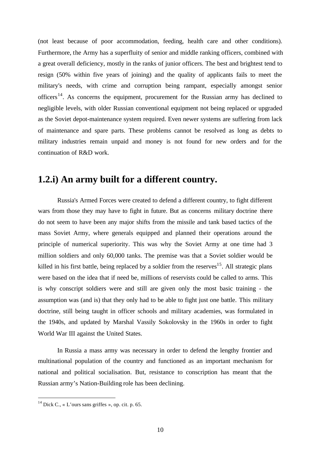(not least because of poor accommodation, feeding, health care and other conditions). Furthermore, the Army has a superfluity of senior and middle ranking officers, combined with a great overall deficiency, mostly in the ranks of junior officers. The best and brightest tend to resign (50% within five years of joining) and the quality of applicants fails to meet the military's needs, with crime and corruption being rampant, especially amongst senior officers<sup>14</sup>. As concerns the equipment, procurement for the Russian army has declined to negligible levels, with older Russian conventional equipment not being replaced or upgraded as the Soviet depot-maintenance system required. Even newer systems are suffering from lack of maintenance and spare parts. These problems cannot be resolved as long as debts to military industries remain unpaid and money is not found for new orders and for the continuation of R&D work.

#### **1.2.i) An army built for a different country.**

Russia's Armed Forces were created to defend a different country, to fight different wars from those they may have to fight in future. But as concerns military doctrine there do not seem to have been any major shifts from the missile and tank based tactics of the mass Soviet Army, where generals equipped and planned their operations around the principle of numerical superiority. This was why the Soviet Army at one time had 3 million soldiers and only 60,000 tanks. The premise was that a Soviet soldier would be killed in his first battle, being replaced by a soldier from the reserves<sup>15</sup>. All strategic plans were based on the idea that if need be, millions of reservists could be called to arms. This is why conscript soldiers were and still are given only the most basic training - the assumption was (and is) that they only had to be able to fight just one battle. This military doctrine, still being taught in officer schools and military academies, was formulated in the 1940s, and updated by Marshal Vassily Sokolovsky in the 1960s in order to fight World War III against the United States.

In Russia a mass army was necessary in order to defend the lengthy frontier and multinational population of the country and functioned as an important mechanism for national and political socialisation. But, resistance to conscription has meant that the Russian army's Nation-Building role has been declining.

<sup>&</sup>lt;sup>14</sup> Dick C., « L'ours sans griffes », op. cit. p. 65.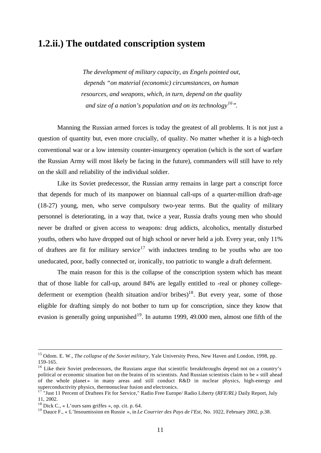#### **1.2.ii.) The outdated conscription system**

*The development of military capacity, as Engels pointed out, depends "on material (economic) circumstances, on human resources, and weapons, which, in turn, depend on the quality and size of a nation's population and on its technology<sup>16</sup>".*

Manning the Russian armed forces is today the greatest of all problems. It is not just a question of quantity but, even more crucially, of quality. No matter whether it is a high-tech conventional war or a low intensity counter-insurgency operation (which is the sort of warfare the Russian Army will most likely be facing in the future), commanders will still have to rely on the skill and reliability of the individual soldier.

Like its Soviet predecessor, the Russian army remains in large part a conscript force that depends for much of its manpower on biannual call-ups of a quarter-million draft-age (18-27) young, men, who serve compulsory two-year terms. But the quality of military personnel is deteriorating, in a way that, twice a year, Russia drafts young men who should never be drafted or given access to weapons: drug addicts, alcoholics, mentally disturbed youths, others who have dropped out of high school or never held a job. Every year, only 11% of draftees are fit for military service<sup>17</sup> with inductees tending to be youths who are too uneducated, poor, badly connected or, ironically, too patriotic to wangle a draft deferment.

The main reason for this is the collapse of the conscription system which has meant that of those liable for call-up, around 84% are legally entitled to -real or phoney collegedeferment or exemption (health situation and/or bribes)<sup>18</sup>. But every year, some of those eligible for drafting simply do not bother to turn up for conscription, since they know that evasion is generally going unpunished<sup>19</sup>. In autumn 1999, 49.000 men, almost one fifth of the

<sup>15</sup> Odom. E. W., *The collapse of the Soviet military*, Yale University Press, New Haven and London, 1998, pp. 159-165.

<sup>&</sup>lt;sup>16</sup> Like their Soviet predecessors, the Russians argue that scientific breakthroughs depend not on a country's political or economic situation but on the brains of its scientists. And Russian scientists claim to be « still ahead of the whole planet » in many areas and still conduct R&D in nuclear physics, high-energy and superconductivity physics, thermonuclear fusion and electronics.

<sup>17</sup> "Just 11 Percent of Draftees Fit for Service," Radio Free Europe/ Radio Liberty (*RFE/RL)* Daily Report, July 11, 2002.

<sup>&</sup>lt;sup>18</sup> Dick C., « L'ours sans griffes », op. cit. p. 64.

<sup>19</sup> Dauce F., « L'Insoumission en Russie », in *Le Courrier des Pays de l'Est*, No. 1022, February 2002, p.38.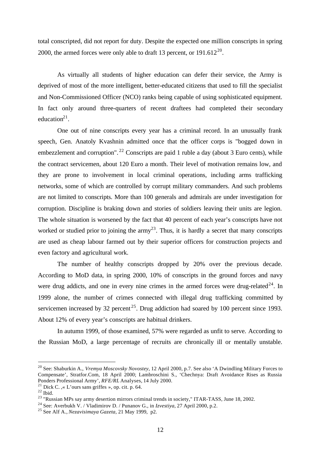total conscripted, did not report for duty. Despite the expected one million conscripts in spring 2000, the armed forces were only able to draft 13 percent, or  $191.612^{20}$ .

As virtually all students of higher education can defer their service, the Army is deprived of most of the more intelligent, better-educated citizens that used to fill the specialist and Non-Commissioned Officer (NCO) ranks being capable of using sophisticated equipment. In fact only around three-quarters of recent draftees had completed their secondary education $2<sup>1</sup>$ .

One out of nine conscripts every year has a criminal record. In an unusually frank speech, Gen. Anatoly Kvashnin admitted once that the officer corps is "bogged down in embezzlement and corruption".  $^{22}$  Conscripts are paid 1 ruble a day (about 3 Euro cents), while the contract servicemen, about 120 Euro a month. Their level of motivation remains low, and they are prone to involvement in local criminal operations, including arms trafficking networks, some of which are controlled by corrupt military commanders. And such problems are not limited to conscripts. More than 100 generals and admirals are under investigation for corruption. Discipline is braking down and stories of soldiers leaving their units are legion. The whole situation is worsened by the fact that 40 percent of each year's conscripts have not worked or studied prior to joining the army<sup>23</sup>. Thus, it is hardly a secret that many conscripts are used as cheap labour farmed out by their superior officers for construction projects and even factory and agricultural work.

The number of healthy conscripts dropped by 20% over the previous decade. According to MoD data, in spring 2000, 10% of conscripts in the ground forces and navy were drug addicts, and one in every nine crimes in the armed forces were drug-related<sup>24</sup>. In 1999 alone, the number of crimes connected with illegal drug trafficking committed by servicemen increased by 32 percent<sup>25</sup>. Drug addiction had soared by 100 percent since 1993. About 12% of every year's conscripts are habitual drinkers.

In autumn 1999, of those examined, 57% were regarded as unfit to serve. According to the Russian MoD, a large percentage of recruits are chronically ill or mentally unstable.

<sup>20</sup> See: Shaburkin A., *Vremya Moscovsky Novostey*, 12 April 2000, p.7. See also 'A Dwindling Military Forces to Compensate', Stratfor.Com, 18 April 2000; Lambroschini S., 'Chechnya: Draft Avoidance Rises as Russia Ponders Professional Army', *RFE/RL* Analyses, 14 July 2000.

<sup>&</sup>lt;sup>21</sup> Dick C. ,« L'ours sans griffes », op. cit. p. 64.

 $22$  Ibid.

<sup>&</sup>lt;sup>23</sup> "Russian MPs say army desertion mirrors criminal trends in society," ITAR-TASS, June 18, 2002.

<sup>24</sup> See: Averbukh V. / Vladimirov D. / Punanov G., in *Izvestiya*, 27 April 2000, p.2.

<sup>25</sup> See Alf A., *Nezavisimaya Gazeta*, 21 May 1999, p2.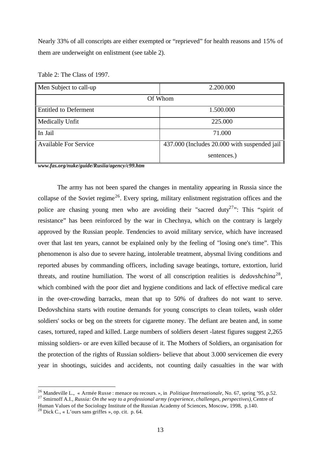Nearly 33% of all conscripts are either exempted or "reprieved" for health reasons and 15% of them are underweight on enlistment (see table 2).

| Men Subject to call-up       | 2.200.000                                    |  |  |  |
|------------------------------|----------------------------------------------|--|--|--|
| Of Whom                      |                                              |  |  |  |
| <b>Entitled to Deferment</b> | 1.500.000                                    |  |  |  |
| Medically Unfit              | 225.000                                      |  |  |  |
| In Jail                      | 71.000                                       |  |  |  |
| <b>Available For Service</b> | 437.000 (Includes 20.000 with suspended jail |  |  |  |
|                              | sentences.)                                  |  |  |  |

Table 2: The Class of 1997.

*www.fas.org/nuke/guide/Rusiia/agency/c99.htm*

The army has not been spared the changes in mentality appearing in Russia since the collapse of the Soviet regime<sup>26</sup>. Every spring, military enlistment registration offices and the police are chasing young men who are avoiding their "sacred duty<sup>27</sup>": This "spirit of resistance" has been reinforced by the war in Chechnya, which on the contrary is largely approved by the Russian people. Tendencies to avoid military service, which have increased over that last ten years, cannot be explained only by the feeling of "losing one's time". This phenomenon is also due to severe hazing, intolerable treatment, abysmal living conditions and reported abuses by commanding officers, including savage beatings, torture, extortion, lurid threats, and routine humiliation. The worst of all conscription realities is *dedovshchina*<sup>28</sup>, which combined with the poor diet and hygiene conditions and lack of effective medical care in the over-crowding barracks, mean that up to 50% of draftees do not want to serve. Dedovshchina starts with routine demands for young conscripts to clean toilets, wash older soldiers' socks or beg on the streets for cigarette money. The defiant are beaten and, in some cases, tortured, raped and killed. Large numbers of soldiers desert -latest figures suggest 2,265 missing soldiers- or are even killed because of it. The Mothers of Soldiers, an organisation for the protection of the rights of Russian soldiers- believe that about 3.000 servicemen die every year in shootings, suicides and accidents, not counting daily casualties in the war with

<sup>26</sup> Mandeville L., « Armée Russe : menace ou recours. », in *Politique Internationale*, No. 67, spring '95, p.52.

<sup>27</sup> Smirnoff A.I., *Russia: On the way to a professional army (experience, challenges, perspectives),* Centre of Human Values of the Sociology Institute of the Russian Academy of Sciences, Moscow, 1998, p.140.

<sup>&</sup>lt;sup>28</sup> Dick C., « L'ours sans griffes », op. cit. p. 64.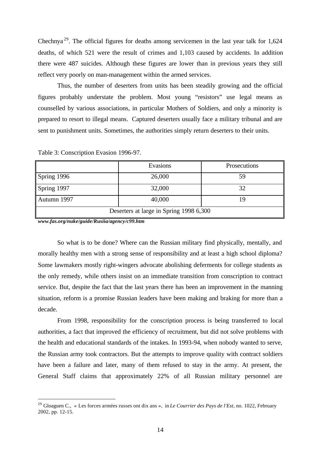Chechnya<sup>29</sup>. The official figures for deaths among servicemen in the last year talk for  $1,624$ deaths, of which 521 were the result of crimes and 1,103 caused by accidents. In addition there were 487 suicides. Although these figures are lower than in previous years they still reflect very poorly on man-management within the armed services.

Thus, the number of deserters from units has been steadily growing and the official figures probably understate the problem. Most young "resistors" use legal means as counselled by various associations, in particular Mothers of Soldiers, and only a minority is prepared to resort to illegal means. Captured deserters usually face a military tribunal and are sent to punishment units. Sometimes, the authorities simply return deserters to their units.

|                                         | Evasions | Prosecutions |  |  |
|-----------------------------------------|----------|--------------|--|--|
| Spring 1996                             | 26,000   | 59           |  |  |
| Spring 1997                             | 32,000   | 32           |  |  |
| Autumn 1997                             | 40,000   | 1 Q          |  |  |
| Deserters at large in Spring 1998 6,300 |          |              |  |  |

Table 3: Conscription Evasion 1996-97.

*www.fas.org/nuke/guide/Rusiia/agency/c99.htm*

l

So what is to be done? Where can the Russian military find physically, mentally, and morally healthy men with a strong sense of responsibility and at least a high school diploma? Some lawmakers mostly right-wingers advocate abolishing deferments for college students as the only remedy, while others insist on an immediate transition from conscription to contract service. But, despite the fact that the last years there has been an improvement in the manning situation, reform is a promise Russian leaders have been making and braking for more than a decade.

From 1998, responsibility for the conscription process is being transferred to local authorities, a fact that improved the efficiency of recruitment, but did not solve problems with the health and educational standards of the intakes. In 1993-94, when nobody wanted to serve, the Russian army took contractors. But the attempts to improve quality with contract soldiers have been a failure and later, many of them refused to stay in the army. At present, the General Staff claims that approximately 22% of all Russian military personnel are

<sup>29</sup> Gloaguen C., « Les forces armées russes ont dix ans », in *Le Courrier des Pays de l'Est*, no. 1022, February 2002, pp. 12-15.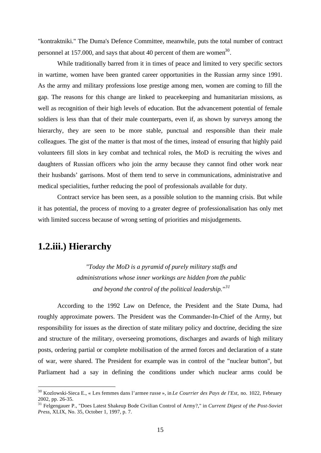"kontraktniki." The Duma's Defence Committee, meanwhile, puts the total number of contract personnel at 157.000, and says that about 40 percent of them are women<sup>30</sup>.

While traditionally barred from it in times of peace and limited to very specific sectors in wartime, women have been granted career opportunities in the Russian army since 1991. As the army and military professions lose prestige among men, women are coming to fill the gap. The reasons for this change are linked to peacekeeping and humanitarian missions, as well as recognition of their high levels of education. But the advancement potential of female soldiers is less than that of their male counterparts, even if, as shown by surveys among the hierarchy, they are seen to be more stable, punctual and responsible than their male colleagues. The gist of the matter is that most of the times, instead of ensuring that highly paid volunteers fill slots in key combat and technical roles, the MoD is recruiting the wives and daughters of Russian officers who join the army because they cannot find other work near their husbands' garrisons. Most of them tend to serve in communications, administrative and medical specialities, further reducing the pool of professionals available for duty.

Contract service has been seen, as a possible solution to the manning crisis. But while it has potential, the process of moving to a greater degree of professionalisation has only met with limited success because of wrong setting of priorities and misjudgements.

#### **1.2.iii.) Hierarchy**

l

*"Today the MoD is a pyramid of purely military staffs and administrations whose inner workings are hidden from the public and beyond the control of the political leadership."<sup>31</sup>*

According to the 1992 Law on Defence, the President and the State Duma, had roughly approximate powers. The President was the Commander-In-Chief of the Army, but responsibility for issues as the direction of state military policy and doctrine, deciding the size and structure of the military, overseeing promotions, discharges and awards of high military posts, ordering partial or complete mobilisation of the armed forces and declaration of a state of war, were shared. The President for example was in control of the "nuclear button", but Parliament had a say in defining the conditions under which nuclear arms could be

<sup>30</sup> Kozlowski-Sieca E., « Les femmes dans l'armee russe », in *Le Courrier des Pays de l'Est*, no. 1022, February 2002, pp. 26-35.

<sup>31</sup> Felgengauer P., "Does Latest Shakeup Bode Civilian Control of Army?," in *Current Digest of the Post-Soviet Press*, XLIX, No. 35, October 1, 1997, p. 7.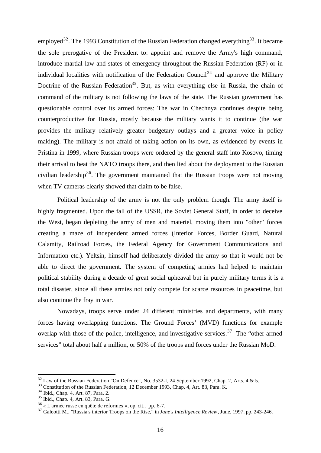employed<sup>32</sup>. The 1993 Constitution of the Russian Federation changed everything<sup>33</sup>. It became the sole prerogative of the President to: appoint and remove the Army's high command, introduce martial law and states of emergency throughout the Russian Federation (RF) or in individual localities with notification of the Federation Council<sup>34</sup> and approve the Military Doctrine of the Russian Federation<sup>35</sup>. But, as with everything else in Russia, the chain of command of the military is not following the laws of the state. The Russian government has questionable control over its armed forces: The war in Chechnya continues despite being counterproductive for Russia, mostly because the military wants it to continue (the war provides the military relatively greater budgetary outlays and a greater voice in policy making). The military is not afraid of taking action on its own, as evidenced by events in Pristina in 1999, where Russian troops were ordered by the general staff into Kosovo, timing their arrival to beat the NATO troops there, and then lied about the deployment to the Russian civilian leadership<sup>36</sup>. The government maintained that the Russian troops were not moving when TV cameras clearly showed that claim to be false.

Political leadership of the army is not the only problem though. The army itself is highly fragmented. Upon the fall of the USSR, the Soviet General Staff, in order to deceive the West, began depleting the army of men and materiel, moving them into "other" forces creating a maze of independent armed forces (Interior Forces, Border Guard, Natural Calamity, Railroad Forces, the Federal Agency for Government Communications and Information etc.). Yeltsin, himself had deliberately divided the army so that it would not be able to direct the government. The system of competing armies had helped to maintain political stability during a decade of great social upheaval but in purely military terms it is a total disaster, since all these armies not only compete for scarce resources in peacetime, but also continue the fray in war.

Nowadays, troops serve under 24 different ministries and departments, with many forces having overlapping functions. The Ground Forces' (MVD) functions for example overlap with those of the police, intelligence, and investigative services.<sup>37</sup> The "other armed services" total about half a million, or 50% of the troops and forces under the Russian MoD.

 $32$  Law of the Russian Federation "On Defence", No. 3532-I, 24 September 1992, Chap. 2, Arts. 4 & 5.

<sup>&</sup>lt;sup>33</sup> Constitution of the Russian Federation, 12 December 1993, Chap. 4, Art. 83, Para. K.

<sup>34</sup> Ibid., Chap. 4, Art. 87, Para. 2.

<sup>35</sup> Ibid., Chap. 4, Art. 83, Para. G.

 $36$  « L'armée russe en quête de réformes », op. cit., pp. 6-7.

<sup>37</sup> Galeotti M., "Russia's interior Troops on the Rise," in *Jane's Intelligence Review*, June, 1997, pp. 243-246.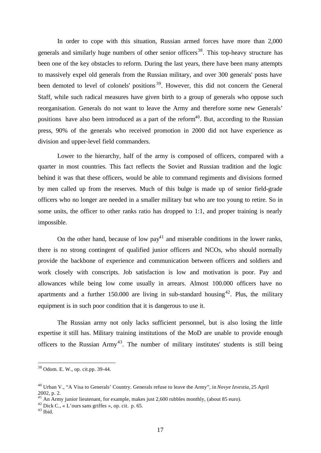In order to cope with this situation, Russian armed forces have more than 2,000 generals and similarly huge numbers of other senior officers<sup>38</sup>. This top-heavy structure has been one of the key obstacles to reform. During the last years, there have been many attempts to massively expel old generals from the Russian military, and over 300 generals' posts have been demoted to level of colonels' positions<sup>39</sup>. However, this did not concern the General Staff, while such radical measures have given birth to a group of generals who oppose such reorganisation. Generals do not want to leave the Army and therefore some new Generals' positions have also been introduced as a part of the reform<sup>40</sup>. But, according to the Russian press, 90% of the generals who received promotion in 2000 did not have experience as division and upper-level field commanders.

Lower to the hierarchy, half of the army is composed of officers, compared with a quarter in most countries. This fact reflects the Soviet and Russian tradition and the logic behind it was that these officers, would be able to command regiments and divisions formed by men called up from the reserves. Much of this bulge is made up of senior field-grade officers who no longer are needed in a smaller military but who are too young to retire. So in some units, the officer to other ranks ratio has dropped to 1:1, and proper training is nearly impossible.

On the other hand, because of low  $pay<sup>41</sup>$  and miserable conditions in the lower ranks, there is no strong contingent of qualified junior officers and NCOs, who should normally provide the backbone of experience and communication between officers and soldiers and work closely with conscripts. Job satisfaction is low and motivation is poor. Pay and allowances while being low come usually in arrears. Almost 100.000 officers have no apartments and a further 150.000 are living in sub-standard housing  $42$ . Plus, the military equipment is in such poor condition that it is dangerous to use it.

The Russian army not only lacks sufficient personnel, but is also losing the little expertise it still has. Military training institutions of the MoD are unable to provide enough officers to the Russian  $Army^{43}$ . The number of military institutes' students is still being

<sup>38</sup> Odom. E. W., op. cit.pp. 39-44.

<sup>40</sup> Urban V., "A Visa to Generals' Country. Generals refuse to leave the Army", in *Novye Izvestia,* 25 April 2002, p. 2.

 $^{41}$  An Army junior lieutenant, for example, makes just 2,600 rubbles monthly, (about 85 euro).

<sup>&</sup>lt;sup>42</sup> Dick C., « L'ours sans griffes », op. cit. p. 65.

<sup>43</sup> Ibid.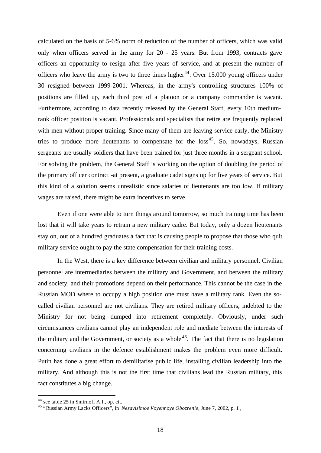calculated on the basis of 5-6% norm of reduction of the number of officers, which was valid only when officers served in the army for 20 - 25 years. But from 1993, contracts gave officers an opportunity to resign after five years of service, and at present the number of officers who leave the army is two to three times higher<sup>44</sup>. Over 15.000 young officers under 30 resigned between 1999-2001. Whereas, in the army's controlling structures 100% of positions are filled up, each third post of a platoon or a company commander is vacant. Furthermore, according to data recently released by the General Staff, every 10th mediumrank officer position is vacant. Professionals and specialists that retire are frequently replaced with men without proper training. Since many of them are leaving service early, the Ministry tries to produce more lieutenants to compensate for the  $loss<sup>45</sup>$ . So, nowadays, Russian sergeants are usually soldiers that have been trained for just three months in a sergeant school. For solving the problem, the General Staff is working on the option of doubling the period of the primary officer contract -at present, a graduate cadet signs up for five years of service. But this kind of a solution seems unrealistic since salaries of lieutenants are too low. If military wages are raised, there might be extra incentives to serve.

Even if one were able to turn things around tomorrow, so much training time has been lost that it will take years to retrain a new military cadre. But today, only a dozen lieutenants stay on, out of a hundred graduates a fact that is causing people to propose that those who quit military service ought to pay the state compensation for their training costs.

In the West, there is a key difference between civilian and military personnel. Civilian personnel are intermediaries between the military and Government, and between the military and society, and their promotions depend on their performance. This cannot be the case in the Russian MOD where to occupy a high position one must have a military rank. Even the socalled civilian personnel are not civilians. They are retired military officers, indebted to the Ministry for not being dumped into retirement completely. Obviously, under such circumstances civilians cannot play an independent role and mediate between the interests of the military and the Government, or society as a whole  $46$ . The fact that there is no legislation concerning civilians in the defence establishment makes the problem even more difficult. Putin has done a great effort to demilitarise public life, installing civilian leadership into the military. And although this is not the first time that civilians lead the Russian military, this fact constitutes a big change.

<sup>44</sup> see table 25 in Smirnoff A.I., op. cit.

<sup>45</sup> "Russian Army Lacks Officers", in *Nezavisimoe Voyennoye Obozrenie*, June 7, 2002, p. 1 ,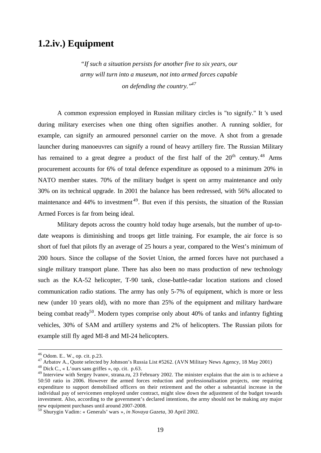#### **1.2.iv.) Equipment**

*"If such a situation persists for another five to six years, our army will turn into a museum, not into armed forces capable on defending the country."<sup>47</sup>*

A common expression employed in Russian military circles is "to signify." It 's used during military exercises when one thing often signifies another. A running soldier, for example, can signify an armoured personnel carrier on the move. A shot from a grenade launcher during manoeuvres can signify a round of heavy artillery fire. The Russian Military has remained to a great degree a product of the first half of the  $20<sup>th</sup>$  century.<sup>48</sup> Arms procurement accounts for 6% of total defence expenditure as opposed to a minimum 20% in NATO member states. 70% of the military budget is spent on army maintenance and only 30% on its technical upgrade. In 2001 the balance has been redressed, with 56% allocated to maintenance and 44% to investment<sup>49</sup>. But even if this persists, the situation of the Russian Armed Forces is far from being ideal.

Military depots across the country hold today huge arsenals, but the number of up-todate weapons is diminishing and troops get little training. For example, the air force is so short of fuel that pilots fly an average of 25 hours a year, compared to the West's minimum of 200 hours. Since the collapse of the Soviet Union, the armed forces have not purchased a single military transport plane. There has also been no mass production of new technology such as the KA-52 helicopter, T-90 tank, close-battle-radar location stations and closed communication radio stations. The army has only 5-7% of equipment, which is more or less new (under 10 years old), with no more than 25% of the equipment and military hardware being combat ready<sup>50</sup>. Modern types comprise only about 40% of tanks and infantry fighting vehicles, 30% of SAM and artillery systems and 2% of helicopters. The Russian pilots for example still fly aged MI-8 and MI-24 helicopters.

<sup>46</sup> Odom. E.. W., op. cit. p.23.

<sup>&</sup>lt;sup>47</sup> Arbatov A., Quote selected by Johnson's Russia List #5262. (AVN Military News Agency, 18 May 2001)

<sup>&</sup>lt;sup>48</sup> Dick C., « L'ours sans griffes », op. cit. p.63.

<sup>&</sup>lt;sup>49</sup> Interview with Sergey Ivanov, strana.ru, 23 February 2002. The minister explains that the aim is to achieve a 50:50 ratio in 2006. However the armed forces reduction and professionalisation projects, one requiring expenditure to support demobilised officers on their retirement and the other a substantial increase in the individual pay of servicemen employed under contract, might slow down the adjustment of the budget towards investment. Also, according to the government's declared intentions, the army should not be making any major new equipment purchases until around 2007-2008.

<sup>50</sup> Shurygin Vadim : « Generals' wars »*, in Novaya Gazeta*, 30 April 2002.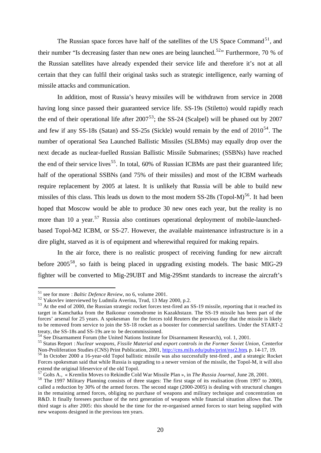The Russian space forces have half of the satellites of the US Space Command<sup>51</sup>, and their number "Is decreasing faster than new ones are being launched.<sup>52</sup>" Furthermore, 70 % of the Russian satellites have already expended their service life and therefore it's not at all certain that they can fulfil their original tasks such as strategic intelligence, early warning of missile attacks and communication.

In addition, most of Russia's heavy missiles will be withdrawn from service in 2008 having long since passed their guaranteed service life. SS-19s (Stiletto) would rapidly reach the end of their operational life after  $2007^{53}$ ; the SS-24 (Scalpel) will be phased out by 2007 and few if any SS-18s (Satan) and SS-25s (Sickle) would remain by the end of  $2010^{54}$ . The number of operational Sea Launched Ballistic Missiles (SLBMs) may equally drop over the next decade as nuclear-fuelled Russian Ballistic Missile Submarines; (SSBNs) have reached the end of their service lives<sup>55</sup>. In total,  $60\%$  of Russian ICBMs are past their guaranteed life; half of the operational SSBNs (and 75% of their missiles) and most of the ICBM warheads require replacement by 2005 at latest. It is unlikely that Russia will be able to build new missiles of this class. This leads us down to the most modern  $SS-28s$  (Topol-M)<sup>56</sup>. It had been hoped that Moscow would be able to produce 30 new ones each year, but the reality is no more than 10 a year.<sup>57</sup> Russia also continues operational deployment of mobile-launchedbased Topol-M2 ICBM, or SS-27. However, the available maintenance infrastructure is in a dire plight, starved as it is of equipment and wherewithal required for making repairs.

In the air force, there is no realistic prospect of receiving funding for new aircraft before  $2005^{58}$ , so faith is being placed in upgrading existing models. The basic MIG-29 fighter will be converted to Mig-29UBT and Mig-29Smt standards to increase the aircraft's

<sup>51</sup> see for more : *Baltic Defence Review*, no 6, volume 2001.

<sup>52</sup> Yakovlev interviewed by Ludmila Averina, Trud, 13 May 2000, p.2.

<sup>&</sup>lt;sup>53</sup> At the end of 2000, the Russian strategic rocket forces test-fired an SS-19 missile, reporting that it reached its target in Kamchatka from the Baikonur cosmodrome in Kazakhstazn. The SS-19 missile has been part of the forces' arsenal for 25 years. A spokesman for the forces told Reuters the previous day that the missile is likely to be removed from service to join the SS-18 rocket as a booster for commercial satellites. Under the START-2 treaty, the SS-18s and SS-19s are to be decommissioned.

<sup>54</sup> See Disarmament Forum (the United Nations Institute for Disarmament Research), vol. 1, 2001.

<sup>55</sup> Status Report : *Nuclear weapons, Fissile Material and export controls in the Former Soviet Union,* Centerfor Non-Proliferation Studies (CNS) Print Publication, 2001, http://cns.miIs.edu/pubs/print/nsr2.htm, p. 14-17, 19.

<sup>56</sup> In October 2000 a 16-year-old Topol ballistic missile was also successfully test-fired , and a strategic Rocket Forces spokesman said that while Russia is upgrading to a newer version of the missile, the Topol-M, it will also extend the original lifeservice of the old Topol.

<sup>57</sup> Golts A., « Kremlin Moves to Rekindle Cold War Missile Plan », in *The Russia Journal*, June 28, 2001.

<sup>58</sup> The 1997 Military Planning consists of three stages: The first stage of its realisation (from 1997 to 2000), called a reduction by 30% of the armed forces. The second stage (2000-2005) is dealing with structural changes in the remaining armed forces, obliging no purchase of weapons and military technique and concentration on R&D. It finally foresees purchase of the next generation of weapons while financial situation allows that. The third stage is after 2005: this should be the time for the re-organised armed forces to start being supplied with new weapons designed in the previous ten years.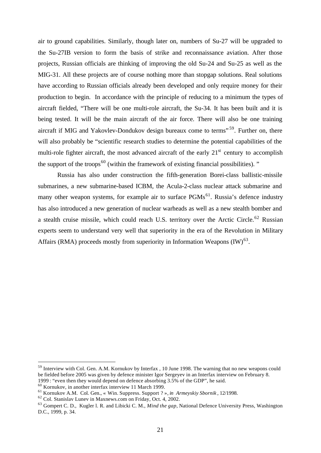air to ground capabilities. Similarly, though later on, numbers of Su-27 will be upgraded to the Su-27IB version to form the basis of strike and reconnaissance aviation. After those projects, Russian officials are thinking of improving the old Su-24 and Su-25 as well as the MIG-31. All these projects are of course nothing more than stopgap solutions. Real solutions have according to Russian officials already been developed and only require money for their production to begin. In accordance with the principle of reducing to a minimum the types of aircraft fielded, "There will be one multi-role aircraft, the Su-34. It has been built and it is being tested. It will be the main aircraft of the air force. There will also be one training aircraft if MIG and Yakovlev-Dondukov design bureaux come to terms<sup>", 59</sup>. Further on, there will also probably be "scientific research studies to determine the potential capabilities of the multi-role fighter aircraft, the most advanced aircraft of the early  $21<sup>st</sup>$  century to accomplish the support of the troops<sup>60</sup> (within the framework of existing financial possibilities). "

Russia has also under construction the fifth-generation Borei-class ballistic-missile submarines, a new submarine-based ICBM, the Acula-2-class nuclear attack submarine and many other weapon systems, for example air to surface  $PGMs<sup>61</sup>$ . Russia's defence industry has also introduced a new generation of nuclear warheads as well as a new stealth bomber and a stealth cruise missile, which could reach U.S. territory over the Arctic Circle.<sup>62</sup> Russian experts seem to understand very well that superiority in the era of the Revolution in Military Affairs (RMA) proceeds mostly from superiority in Information Weapons  $(IW)^{63}$ .

<sup>&</sup>lt;sup>59</sup> Interview with Col. Gen. A.M. Kornukov by Interfax , 10 June 1998. The warning that no new weapons could be fielded before 2005 was given by defence minister Igor Sergeyev in an Interfax interview on February 8. 1999 : "even then they would depend on defence absorbing 3.5% of the GDP", he said.

<sup>60</sup> Kornukov, in another interfax interview 11 March 1999.

<sup>61</sup> Kornukov A.M. Col. Gen., « Win. Suppress. Support ? », *in Armeyskiy Sbornik* , 12/1998.

<sup>62</sup> Col. Stanislav Lunev in Maxnews.com on Friday, Oct. 4, 2002.

<sup>63</sup> Gompert C. D., Kugler l. R. and Libicki C. M., *Mind the gap*, National Defence University Press, Washington D.C., 1999, p. 34.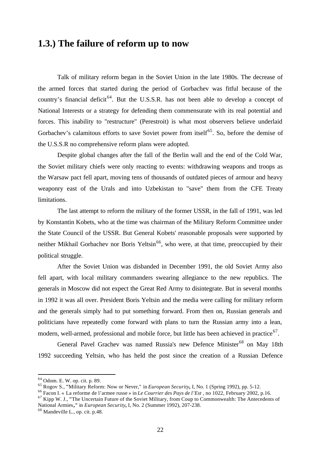#### **1.3.) The failure of reform up to now**

Talk of military reform began in the Soviet Union in the late 1980s. The decrease of the armed forces that started during the period of Gorbachev was fitful because of the country's financial deficit<sup>64</sup>. But the U.S.S.R. has not been able to develop a concept of National Interests or a strategy for defending them commensurate with its real potential and forces. This inability to "restructure" (Perestroit) is what most observers believe underlaid Gorbachev's calamitous efforts to save Soviet power from itself<sup>65</sup>. So, before the demise of the U.S.S.R no comprehensive reform plans were adopted.

Despite global changes after the fall of the Berlin wall and the end of the Cold War, the Soviet military chiefs were only reacting to events: withdrawing weapons and troops as the Warsaw pact fell apart, moving tens of thousands of outdated pieces of armour and heavy weaponry east of the Urals and into Uzbekistan to "save" them from the CFE Treaty limitations.

The last attempt to reform the military of the former USSR, in the fall of 1991, was led by Konstantin Kobets, who at the time was chairman of the Military Reform Committee under the State Council of the USSR. But General Kobets' reasonable proposals were supported by neither Mikhail Gorbachev nor Boris Yeltsin<sup>66</sup>, who were, at that time, preoccupied by their political struggle.

After the Soviet Union was disbanded in December 1991, the old Soviet Army also fell apart, with local military commanders swearing allegiance to the new republics. The generals in Moscow did not expect the Great Red Army to disintegrate. But in several months in 1992 it was all over. President Boris Yeltsin and the media were calling for military reform and the generals simply had to put something forward. From then on, Russian generals and politicians have repeatedly come forward with plans to turn the Russian army into a lean, modern, well-armed, professional and mobile force, but little has been achieved in practice<sup>67</sup>.

General Pavel Grachev was named Russia's new Defence Minister<sup>68</sup> on May 18th 1992 succeeding Yeltsin, who has held the post since the creation of a Russian Defence

<sup>64</sup> Odom. E. W. op. cit. p. 89.

<sup>65</sup> Rogov S., **"**Military Reform: Now or Never," in *European Security,* I, No. 1 (Spring 1992), pp. 5-12.

<sup>66</sup> Facon I. « La reforme de l'armee russe » in *Le Courrier des Pays de l'Est* , no 1022, February 2002, p.16.

<sup>67</sup> Kipp W. J., **"**The Uncertain Future of the Soviet Military, from Coup to Commonwealth: The Antecedents of National Armies**,"** in *European Security,* I, No. 2 (Summer 1992), 207-238.

<sup>68</sup> Mandeville L., op. cit. p.48.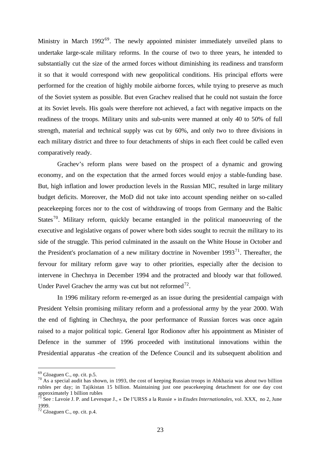Ministry in March 1992<sup>69</sup>. The newly appointed minister immediately unveiled plans to undertake large-scale military reforms. In the course of two to three years, he intended to substantially cut the size of the armed forces without diminishing its readiness and transform it so that it would correspond with new geopolitical conditions. His principal efforts were performed for the creation of highly mobile airborne forces, while trying to preserve as much of the Soviet system as possible. But even Grachev realised that he could not sustain the force at its Soviet levels. His goals were therefore not achieved, a fact with negative impacts on the readiness of the troops. Military units and sub-units were manned at only 40 to 50% of full strength, material and technical supply was cut by 60%, and only two to three divisions in each military district and three to four detachments of ships in each fleet could be called even comparatively ready.

Grachev's reform plans were based on the prospect of a dynamic and growing economy, and on the expectation that the armed forces would enjoy a stable-funding base. But, high inflation and lower production levels in the Russian MIC, resulted in large military budget deficits. Moreover, the MoD did not take into account spending neither on so-called peacekeeping forces nor to the cost of withdrawing of troops from Germany and the Baltic States<sup>70</sup>. Military reform, quickly became entangled in the political manoeuvring of the executive and legislative organs of power where both sides sought to recruit the military to its side of the struggle. This period culminated in the assault on the White House in October and the President's proclamation of a new military doctrine in November  $1993<sup>71</sup>$ . Thereafter, the fervour for military reform gave way to other priorities, especially after the decision to intervene in Chechnya in December 1994 and the protracted and bloody war that followed. Under Pavel Grachev the army was cut but not reformed<sup>72</sup>.

In 1996 military reform re-emerged as an issue during the presidential campaign with President Yeltsin promising military reform and a professional army by the year 2000. With the end of fighting in Chechnya, the poor performance of Russian forces was once again raised to a major political topic. General Igor Rodionov after his appointment as Minister of Defence in the summer of 1996 proceeded with institutional innovations within the Presidential apparatus -the creation of the Defence Council and its subsequent abolition and

 $69$  Gloaguen C., op. cit. p.5.

<sup>70</sup> As a special audit has shown, in 1993, the cost of keeping Russian troops in Abkhazia was about two billion rubles per day; in Tajikistan 15 billion. Maintaining just one peacekeeping detachment for one day cost approximately 1 billion rubles

<sup>71</sup> See : Lavoie J. P. and Levesque J., « De l'URSS a la Russie » in *Etudes Internationales,* vol. XXX, no 2, June 1999.

<sup>72</sup> Gloaguen C., op. cit. p.4.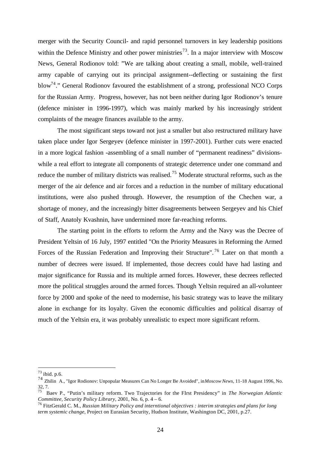merger with the Security Council- and rapid personnel turnovers in key leadership positions within the Defence Ministry and other power ministries<sup>73</sup>. In a major interview with Moscow News, General Rodionov told: "We are talking about creating a small, mobile, well-trained army capable of carrying out its principal assignment--deflecting or sustaining the first blow<sup>74</sup>." General Rodionov favoured the establishment of a strong, professional NCO Corps for the Russian Army. Progress, however, has not been neither during Igor Rodionov's tenure (defence minister in 1996-1997), which was mainly marked by his increasingly strident complaints of the meagre finances available to the army.

The most significant steps toward not just a smaller but also restructured military have taken place under Igor Sergeyev (defence minister in 1997-2001). Further cuts were enacted in a more logical fashion -assembling of a small number of "permanent readiness" divisionswhile a real effort to integrate all components of strategic deterrence under one command and reduce the number of military districts was realised.<sup>75</sup> Moderate structural reforms, such as the merger of the air defence and air forces and a reduction in the number of military educational institutions, were also pushed through. However, the resumption of the Chechen war, a shortage of money, and the increasingly bitter disagreements between Sergeyev and his Chief of Staff, Anatoly Kvashnin, have undermined more far-reaching reforms.

The starting point in the efforts to reform the Army and the Navy was the Decree of President Yeltsin of 16 July, 1997 entitled "On the Priority Measures in Reforming the Armed Forces of the Russian Federation and Improving their Structure".<sup>76</sup> Later on that month a number of decrees were issued. If implemented, those decrees could have had lasting and major significance for Russia and its multiple armed forces. However, these decrees reflected more the political struggles around the armed forces. Though Yeltsin required an all-volunteer force by 2000 and spoke of the need to modernise, his basic strategy was to leave the military alone in exchange for its loyalty. Given the economic difficulties and political disarray of much of the Yeltsin era, it was probably unrealistic to expect more significant reform.

<sup>73</sup> ibid. p.6.

<sup>74</sup> Zhilin A., "Igor Rodionov: Unpopular Measures Can No Longer Be Avoided", in *Moscow News*, 11-18 August 1996, No. 32, 7.

<sup>75</sup> Baev P., "Putin's military reform. Two Trajectories for the FIrst Presidency" in *The Norwegian Atlantic Committee, Security Policy Library*, 2001, No. 6, p. 4 – 6.

<sup>76</sup> FitzGerald C. M., *Russian Military Policy and interntional objectives : interim strategies and plans for long term systemic change*, Project on Eurasian Security, Hudson Institute, Washington DC, 2001, p.27.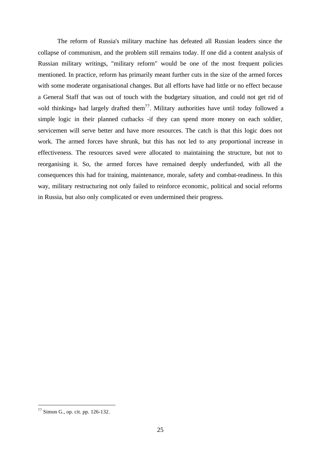The reform of Russia's military machine has defeated all Russian leaders since the collapse of communism, and the problem still remains today. If one did a content analysis of Russian military writings, "military reform" would be one of the most frequent policies mentioned. In practice, reform has primarily meant further cuts in the size of the armed forces with some moderate organisational changes. But all efforts have had little or no effect because a General Staff that was out of touch with the budgetary situation, and could not get rid of «old thinking» had largely drafted them<sup>77</sup>. Military authorities have until today followed a simple logic in their planned cutbacks -if they can spend more money on each soldier, servicemen will serve better and have more resources. The catch is that this logic does not work. The armed forces have shrunk, but this has not led to any proportional increase in effectiveness. The resources saved were allocated to maintaining the structure, but not to reorganising it. So, the armed forces have remained deeply underfunded, with all the consequences this had for training, maintenance, morale, safety and combat-readiness. In this way, military restructuring not only failed to reinforce economic, political and social reforms in Russia, but also only complicated or even undermined their progress.

 $77$  Simon G., op. cit. pp. 126-132.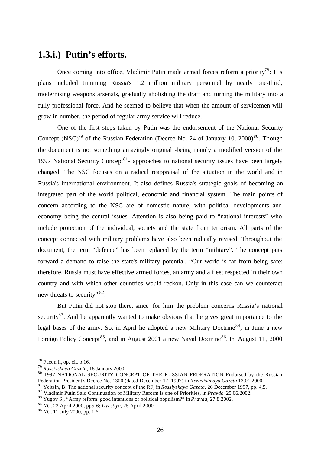#### **1.3.i.) Putin's efforts.**

Once coming into office, Vladimir Putin made armed forces reform a priority<sup>78</sup>: His plans included trimming Russia's 1.2 million military personnel by nearly one-third, modernising weapons arsenals, gradually abolishing the draft and turning the military into a fully professional force. And he seemed to believe that when the amount of servicemen will grow in number, the period of regular army service will reduce.

One of the first steps taken by Putin was the endorsement of the National Security Concept  $(NSC)^{79}$  of the Russian Federation (Decree No. 24 of January 10, 2000)<sup>80</sup>. Though the document is not something amazingly original -being mainly a modified version of the 1997 National Security Concept<sup>81</sup>- approaches to national security issues have been largely changed. The NSC focuses on a radical reappraisal of the situation in the world and in Russia's international environment. It also defines Russia's strategic goals of becoming an integrated part of the world political, economic and financial system. The main points of concern according to the NSC are of domestic nature, with political developments and economy being the central issues. Attention is also being paid to "national interests" who include protection of the individual, society and the state from terrorism. All parts of the concept connected with military problems have also been radically revised. Throughout the document, the term "defence" has been replaced by the term "military". The concept puts forward a demand to raise the state's military potential. "Our world is far from being safe; therefore, Russia must have effective armed forces, an army and a fleet respected in their own country and with which other countries would reckon. Only in this case can we counteract new threats to security"  $82$ .

But Putin did not stop there, since for him the problem concerns Russia's national security<sup>83</sup>. And he apparently wanted to make obvious that he gives great importance to the legal bases of the army. So, in April he adopted a new Military Doctrine<sup>84</sup>, in June a new Foreign Policy Concept<sup>85</sup>, and in August 2001 a new Naval Doctrine<sup>86</sup>. In August 11, 2000

<sup>78</sup> Facon I., op. cit. p.16.

<sup>79</sup> *Rossiyskaya Gazeta*, 18 January 2000.

<sup>80 1997</sup> NATIONAL SECURITY CONCEPT OF THE RUSSIAN FEDERATION Endorsed by the Russian Federation President's Decree No. 1300 (dated December 17, 1997) in *Nezavisimaya Gazeta* 13.01.2000.

<sup>81</sup> Yeltsin, B. The national security concept of the RF, in *Rossiyskaya Gazeta*, 26 December 1997, pp. 4,5.

<sup>82</sup> Vladimir Putin Said Continuation of Military Reform is one of Priorities, in *Pravda* 25.06.2002.

<sup>83</sup> Yugov S., "Army reform: good intentions or political populism?" in *Pravda,* 27.8.2002.

<sup>84</sup> *NG*, 22 April 2000, pp5-6; *Izvestiya*, 25 April 2000.

<sup>85</sup> *NG*, 11 July 2000, pp. 1,6.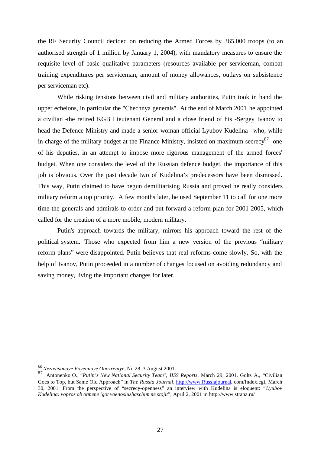the RF Security Council decided on reducing the Armed Forces by 365,000 troops (to an authorised strength of 1 million by January 1, 2004), with mandatory measures to ensure the requisite level of basic qualitative parameters (resources available per serviceman, combat training expenditures per serviceman, amount of money allowances, outlays on subsistence per serviceman etc).

While risking tensions between civil and military authorities, Putin took in hand the upper echelons, in particular the "Chechnya generals". At the end of March 2001 he appointed a civilian -the retired KGB Lieutenant General and a close friend of his -Sergey Ivanov to head the Defence Ministry and made a senior woman official Lyubov Kudelina –who, while in charge of the military budget at the Finance Ministry, insisted on maximum secrecy<sup>87</sup>- one of his deputies, in an attempt to impose more rigorous management of the armed forces' budget. When one considers the level of the Russian defence budget, the importance of this job is obvious. Over the past decade two of Kudelina's predecessors have been dismissed. This way, Putin claimed to have begun demilitarising Russia and proved he really considers military reform a top priority. A few months later, he used September 11 to call for one more time the generals and admirals to order and put forward a reform plan for 2001-2005, which called for the creation of a more mobile, modern military.

Putin's approach towards the military, mirrors his approach toward the rest of the political system. Those who expected from him a new version of the previous "military reform plans" were disappointed. Putin believes that real reforms come slowly. So, with the help of Ivanov, Putin proceeded in a number of changes focused on avoiding redundancy and saving money, living the important changes for later.

<sup>86</sup> *Nezavisimoye Voyennoye Obozreniye*, No 28, 3 August 2001.

<sup>87</sup> Antonenko O., "*Putin's New National Security Team*", *IISS Reports*, March 29, 2001. Golts A., "Civilian Goes to Top, but Same Old Approach" in *The Russia Journal*, http://www.Russiajournal. com/Index.cgi, March 30, 2001. From the perspective of "secrecy-openness" an interview with Kudelina is eloquent: "*Lyubov Kudelina: vopros ob otmene igot voenosluzhaschim ne stojit*", April 2, 2001 in http://www.strana.ru/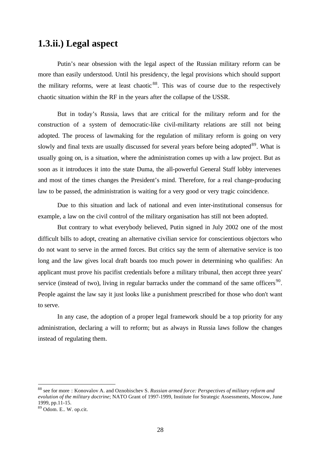### **1.3.ii.) Legal aspect**

Putin's near obsession with the legal aspect of the Russian military reform can be more than easily understood. Until his presidency, the legal provisions which should support the military reforms, were at least chaotic  $88$ . This was of course due to the respectively chaotic situation within the RF in the years after the collapse of the USSR.

But in today's Russia, laws that are critical for the military reform and for the construction of a system of democratic-like civil-militarty relations are still not being adopted. The process of lawmaking for the regulation of military reform is going on very slowly and final texts are usually discussed for several years before being adopted<sup>89</sup>. What is usually going on, is a situation, where the administration comes up with a law project. But as soon as it introduces it into the state Duma, the all-powerful General Staff lobby intervenes and most of the times changes the President's mind. Therefore, for a real change-producing law to be passed, the administration is waiting for a very good or very tragic coincidence.

Due to this situation and lack of national and even inter-institutional consensus for example, a law on the civil control of the military organisation has still not been adopted.

But contrary to what everybody believed, Putin signed in July 2002 one of the most difficult bills to adopt, creating an alternative civilian service for conscientious objectors who do not want to serve in the armed forces. But critics say the term of alternative service is too long and the law gives local draft boards too much power in determining who qualifies: An applicant must prove his pacifist credentials before a military tribunal, then accept three years' service (instead of two), living in regular barracks under the command of the same officers<sup>90</sup>. People against the law say it just looks like a punishment prescribed for those who don't want to serve.

In any case, the adoption of a proper legal framework should be a top priority for any administration, declaring a will to reform; but as always in Russia laws follow the changes instead of regulating them.

<sup>88</sup> see for more : Konovalov A. and Oznobischev S. *Russian armed force: Perspectives of military reform and evolution of the military doctrine*; NATO Grant of 1997-1999, Institute for Strategic Assessments, Moscow, June 1999, pp.11-15.

<sup>89</sup> Odom. E.. W. op.cit.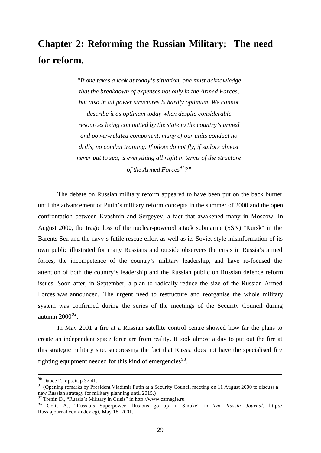# **Chapter 2: Reforming the Russian Military; The need for reform.**

*"If one takes a look at today's situation, one must acknowledge that the breakdown of expenses not only in the Armed Forces, but also in all power structures is hardly optimum. We cannot describe it as optimum today when despite considerable resources being committed by the state to the country's armed and power-related component, many of our units conduct no drills, no combat training. If pilots do not fly, if sailors almost never put to sea, is everything all right in terms of the structure of the Armed Forces<sup>91</sup>?"*

The debate on Russian military reform appeared to have been put on the back burner until the advancement of Putin's military reform concepts in the summer of 2000 and the open confrontation between Kvashnin and Sergeyev, a fact that awakened many in Moscow: In August 2000, the tragic loss of the nuclear-powered attack submarine (SSN) "Kursk" in the Barents Sea and the navy's futile rescue effort as well as its Soviet-style misinformation of its own public illustrated for many Russians and outside observers the crisis in Russia's armed forces, the incompetence of the country's military leadership, and have re-focused the attention of both the country's leadership and the Russian public on Russian defence reform issues. Soon after, in September, a plan to radically reduce the size of the Russian Armed Forces was announced. The urgent need to restructure and reorganise the whole military system was confirmed during the series of the meetings of the Security Council during autumn 2000 $92$ .

In May 2001 a fire at a Russian satellite control centre showed how far the plans to create an independent space force are from reality. It took almost a day to put out the fire at this strategic military site, suppressing the fact that Russia does not have the specialised fire fighting equipment needed for this kind of emergencies<sup>93</sup>.

 $90$  Dauce F., op.cit. p.37,41.

<sup>&</sup>lt;sup>91</sup> (Opening remarks by President Vladimir Putin at a Security Council meeting on 11 August 2000 to discuss a new Russian strategy for military planning until 2015.)

<sup>92</sup> Trenin D., "Russia's Military in Crisis" in http://www.carnegie.ru

<sup>93</sup> Golts A., "Russia's Superpower Illusions go up in Smoke" in *The Russia Journal*, http:// Russiajournal.com/index.cgi, May 18, 2001.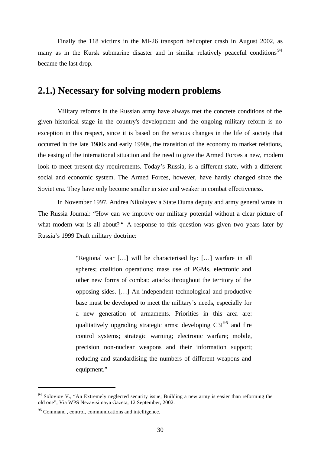Finally the 118 victims in the MI-26 transport helicopter crash in August 2002, as many as in the Kursk submarine disaster and in similar relatively peaceful conditions<sup>94</sup> became the last drop.

### **2.1.) Necessary for solving modern problems**

Military reforms in the Russian army have always met the concrete conditions of the given historical stage in the country's development and the ongoing military reform is no exception in this respect, since it is based on the serious changes in the life of society that occurred in the late 1980s and early 1990s, the transition of the economy to market relations, the easing of the international situation and the need to give the Armed Forces a new, modern look to meet present-day requirements. Today's Russia, is a different state, with a different social and economic system. The Armed Forces, however, have hardly changed since the Soviet era. They have only become smaller in size and weaker in combat effectiveness.

In November 1997, Andrea Nikolayev a State Duma deputy and army general wrote in The Russia Journal: "How can we improve our military potential without a clear picture of what modern war is all about? " A response to this question was given two years later by Russia's 1999 Draft military doctrine:

> "Regional war […] will be characterised by: […] warfare in all spheres; coalition operations; mass use of PGMs, electronic and other new forms of combat; attacks throughout the territory of the opposing sides. […] An independent technological and productive base must be developed to meet the military's needs, especially for a new generation of armaments. Priorities in this area are: qualitatively upgrading strategic arms; developing  $C3I<sup>95</sup>$  and fire control systems; strategic warning; electronic warfare; mobile, precision non-nuclear weapons and their information support; reducing and standardising the numbers of different weapons and equipment."

<sup>&</sup>lt;sup>94</sup> Soloviov V., "An Extremely neglected security issue; Building a new army is easier than reforming the old one", Via WPS Nezavisimaya Gazeta, 12 September, 2002.

<sup>&</sup>lt;sup>95</sup> Command, control, communications and intelligence.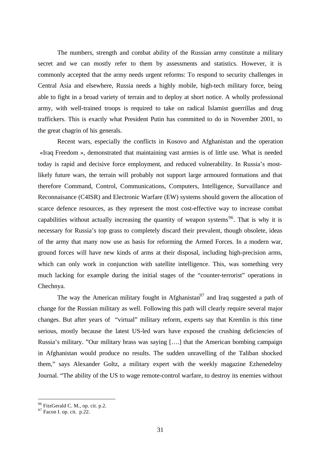The numbers, strength and combat ability of the Russian army constitute a military secret and we can mostly refer to them by assessments and statistics. However, it is commonly accepted that the army needs urgent reforms: To respond to security challenges in Central Asia and elsewhere, Russia needs a highly mobile, high-tech military force, being able to fight in a broad variety of terrain and to deploy at short notice. A wholly professional army, with well-trained troops is required to take on radical Islamist guerrillas and drug traffickers. This is exactly what President Putin has committed to do in November 2001, to the great chagrin of his generals.

Recent wars, especially the conflicts in Kosovo and Afghanistan and the operation «Iraq Freedom », demonstrated that maintaining vast armies is of little use. What is needed today is rapid and decisive force employment, and reduced vulnerability. In Russia's mostlikely future wars, the terrain will probably not support large armoured formations and that therefore Command, Control, Communications, Computers, Intelligence, Survaillance and Reconnaisance (C4ISR) and Electronic Warfare (EW) systems should govern the allocation of scarce defence resources, as they represent the most cost-effective way to increase combat capabilities without actually increasing the quantity of weapon systems<sup>96</sup>. That is why it is necessary for Russia's top grass to completely discard their prevalent, though obsolete, ideas of the army that many now use as basis for reforming the Armed Forces. In a modern war, ground forces will have new kinds of arms at their disposal, including high-precision arms, which can only work in conjunction with satellite intelligence. This, was something very much lacking for example during the initial stages of the "counter-terrorist" operations in Chechnya.

The way the American military fought in Afghanistan<sup>97</sup> and Iraq suggested a path of change for the Russian military as well. Following this path will clearly require several major changes. But after years of "virtual" military reform, experts say that Kremlin is this time serious, mostly because the latest US-led wars have exposed the crushing deficiencies of Russia's military. "Our military brass was saying [….] that the American bombing campaign in Afghanistan would produce no results. The sudden unravelling of the Taliban shocked them," says Alexander Goltz, a military expert with the weekly magazine Ezhenedelny Journal. "The ability of the US to wage remote-control warfare, to destroy its enemies without

<sup>&</sup>lt;sup>96</sup> FitzGerald C. M., op. cit. p.2.

 $97$  Facon I. op. cit. p.22.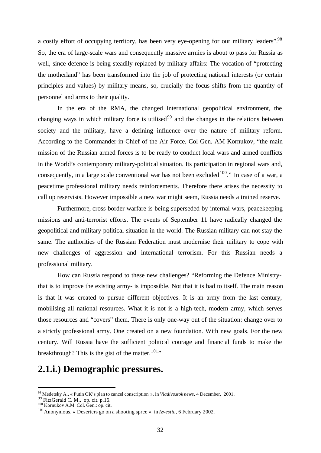a costly effort of occupying territory, has been very eye-opening for our military leaders".<sup>98</sup> So, the era of large-scale wars and consequently massive armies is about to pass for Russia as well, since defence is being steadily replaced by military affairs: The vocation of "protecting the motherland" has been transformed into the job of protecting national interests (or certain principles and values) by military means, so, crucially the focus shifts from the quantity of personnel and arms to their quality.

In the era of the RMA, the changed international geopolitical environment, the changing ways in which military force is utilised<sup>99</sup> and the changes in the relations between society and the military, have a defining influence over the nature of military reform. According to the Commander-in-Chief of the Air Force, Col Gen. AM Kornukov, "the main mission of the Russian armed forces is to be ready to conduct local wars and armed conflicts in the World's contemporary military-political situation. Its participation in regional wars and, consequently, in a large scale conventional war has not been excluded  $100$ ." In case of a war, a peacetime professional military needs reinforcements. Therefore there arises the necessity to call up reservists. However impossible a new war might seem, Russia needs a trained reserve.

Furthermore, cross border warfare is being superseded by internal wars, peacekeeping missions and anti-terrorist efforts. The events of September 11 have radically changed the geopolitical and military political situation in the world. The Russian military can not stay the same. The authorities of the Russian Federation must modernise their military to cope with new challenges of aggression and international terrorism. For this Russian needs a professional military.

How can Russia respond to these new challenges? "Reforming the Defence Ministrythat is to improve the existing army- is impossible. Not that it is bad to itself. The main reason is that it was created to pursue different objectives. It is an army from the last century, mobilising all national resources. What it is not is a high-tech, modern army, which serves those resources and "covers" them. There is only one-way out of the situation: change over to a strictly professional army. One created on a new foundation. With new goals. For the new century. Will Russia have the sufficient political courage and financial funds to make the breakthrough? This is the gist of the matter.  $101$ <sup>101</sup>

#### **2.1.i.) Demographic pressures.**

<sup>98</sup> Medetsky A., « Putin OK's plan to cancel conscription », in *Vladivostok news*, 4 December, 2001.

 $99$  FitzGerald C. M., op. cit. p.16.

<sup>100</sup> Kornukov A.M. Col. Gen.: op. cit.

<sup>101</sup>Anonymous, « Deserters go on a shooting spree ». in *Izvestia*, 6 February 2002.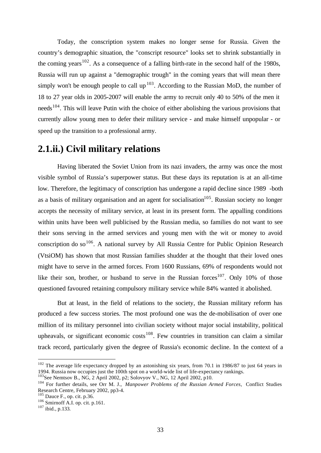Today, the conscription system makes no longer sense for Russia. Given the country's demographic situation, the "conscript resource" looks set to shrink substantially in the coming years<sup>102</sup>. As a consequence of a falling birth-rate in the second half of the 1980s, Russia will run up against a "demographic trough" in the coming years that will mean there simply won't be enough people to call up<sup>103</sup>. According to the Russian MoD, the number of 18 to 27 year olds in 2005-2007 will enable the army to recruit only 40 to 50% of the men it needs<sup>104</sup>. This will leave Putin with the choice of either abolishing the various provisions that currently allow young men to defer their military service - and make himself unpopular - or speed up the transition to a professional army.

#### **2.1.ii.) Civil military relations**

Having liberated the Soviet Union from its nazi invaders, the army was once the most visible symbol of Russia's superpower status. But these days its reputation is at an all-time low. Therefore, the legitimacy of conscription has undergone a rapid decline since 1989 -both as a basis of military organisation and an agent for socialisation<sup>105</sup>. Russian society no longer accepts the necessity of military service, at least in its present form. The appalling conditions within units have been well publicised by the Russian media, so families do not want to see their sons serving in the armed services and young men with the wit or money to avoid conscription do so<sup>106</sup>. A national survey by All Russia Centre for Public Opinion Research (VtsiOM) has shown that most Russian families shudder at the thought that their loved ones might have to serve in the armed forces. From 1600 Russians, 69% of respondents would not like their son, brother, or husband to serve in the Russian forces<sup>107</sup>. Only 10% of those questioned favoured retaining compulsory military service while 84% wanted it abolished.

But at least, in the field of relations to the society, the Russian military reform has produced a few success stories. The most profound one was the de-mobilisation of over one million of its military personnel into civilian society without major social instability, political upheavals, or significant economic costs<sup>108</sup>. Few countries in transition can claim a similar track record, particularly given the degree of Russia's economic decline. In the context of a

<sup>&</sup>lt;sup>102</sup> The average life expectancy dropped by an astonishing six years, from 70.1 in 1986/87 to just 64 years in 1994. Russia now occupies just the 100th spot on a world-wide list of life-expectancy rankings.

<sup>1994.</sup> Russia how occupied just the Toom operation of the MG, 12 April 2002, p10.

<sup>104</sup> For further details, see Orr M. J., *Manpower Problems of the Russian Armed Forces,* Conflict Studies Research Centre, February 2002, pp3-4.

<sup>105</sup> Dauce F., op. cit. p.36.

<sup>106</sup> Smirnoff A.I. op. cit. p.161.

 $107$  ibid., p.133.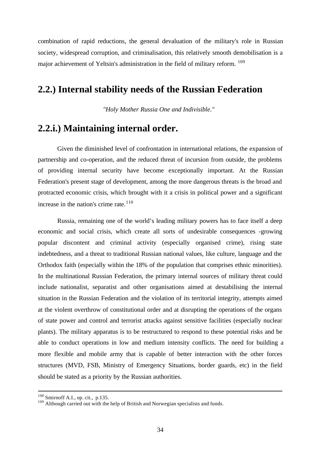combination of rapid reductions, the general devaluation of the military's role in Russian society, widespread corruption, and criminalisation, this relatively smooth demobilisation is a major achievement of Yeltsin's administration in the field of military reform. <sup>109</sup>

#### **2.2.) Internal stability needs of the Russian Federation**

*"Holy Mother Russia One and Indivisible."*

#### **2.2.i.) Maintaining internal order.**

Given the diminished level of confrontation in international relations, the expansion of partnership and co-operation, and the reduced threat of incursion from outside, the problems of providing internal security have become exceptionally important. At the Russian Federation's present stage of development, among the more dangerous threats is the broad and protracted economic crisis, which brought with it a crisis in political power and a significant increase in the nation's crime rate. $110$ 

Russia, remaining one of the world's leading military powers has to face itself a deep economic and social crisis, which create all sorts of undesirable consequences -growing popular discontent and criminal activity (especially organised crime), rising state indebtedness, and a threat to traditional Russian national values, like culture, language and the Orthodox faith (especially within the 18% of the population that comprises ethnic minorities). In the multinational Russian Federation, the primary internal sources of military threat could include nationalist, separatist and other organisations aimed at destabilising the internal situation in the Russian Federation and the violation of its territorial integrity, attempts aimed at the violent overthrow of constitutional order and at disrupting the operations of the organs of state power and control and terrorist attacks against sensitive facilities (especially nuclear plants). The military apparatus is to be restructured to respond to these potential risks and be able to conduct operations in low and medium intensity conflicts. The need for building a more flexible and mobile army that is capable of better interaction with the other forces structures (MVD, FSB, Ministry of Emergency Situations, border guards, etc) in the field should be stated as a priority by the Russian authorities.

 $108$  Smirnoff A.I., op. cit., p.135.

<sup>&</sup>lt;sup>109</sup> Although carried out with the help of British and Norwegian specialists and funds.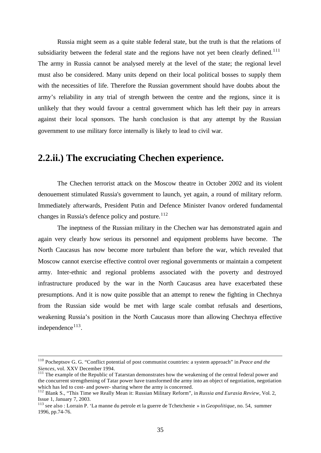Russia might seem as a quite stable federal state, but the truth is that the relations of subsidiarity between the federal state and the regions have not yet been clearly defined.<sup>111</sup> The army in Russia cannot be analysed merely at the level of the state; the regional level must also be considered. Many units depend on their local political bosses to supply them with the necessities of life. Therefore the Russian government should have doubts about the army's reliability in any trial of strength between the centre and the regions, since it is unlikely that they would favour a central government which has left their pay in arrears against their local sponsors. The harsh conclusion is that any attempt by the Russian government to use military force internally is likely to lead to civil war.

#### **2.2.ii.) The excruciating Chechen experience.**

The Chechen terrorist attack on the Moscow theatre in October 2002 and its violent denouement stimulated Russia's government to launch, yet again, a round of military reform. Immediately afterwards, President Putin and Defence Minister Ivanov ordered fundamental changes in Russia's defence policy and posture.<sup>112</sup>

The ineptness of the Russian military in the Chechen war has demonstrated again and again very clearly how serious its personnel and equipment problems have become. The North Caucasus has now become more turbulent than before the war, which revealed that Moscow cannot exercise effective control over regional governments or maintain a competent army. Inter-ethnic and regional problems associated with the poverty and destroyed infrastructure produced by the war in the North Caucasus area have exacerbated these presumptions. And it is now quite possible that an attempt to renew the fighting in Chechnya from the Russian side would be met with large scale combat refusals and desertions, weakening Russia's position in the North Caucasus more than allowing Chechnya effective independence<sup>113</sup>.

<sup>110</sup> Pocheptsov G. G. "Conflict potential of post communist countries: a system approach" in *Peace and the Siences*, vol. XXV December 1994.

<sup>&</sup>lt;sup>111</sup> The example of the Republic of Tatarstan demonstrates how the weakening of the central federal power and the concurrent strengthening of Tatar power have transformed the army into an object of negotiation, negotiation which has led to cost- and power- sharing where the army is concerned.

<sup>112</sup> Blank S., "This Time we Really Mean it: Russian Military Reform", in *Russia and Eurasia Review*, Vol. 2, Issue 1, January 7, 2003.

<sup>113</sup> see also : Lorrain P. 'La manne du petrole et la guerre de Tchetchenie » in *Geopolitique*, no. 54, summer 1996, pp.74-76.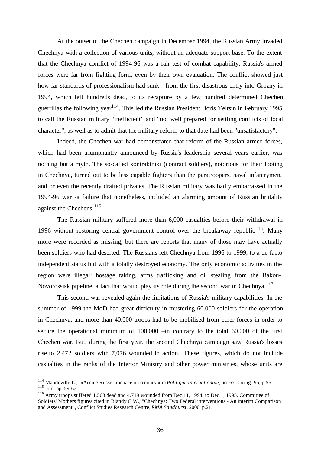At the outset of the Chechen campaign in December 1994, the Russian Army invaded Chechnya with a collection of various units, without an adequate support base. To the extent that the Chechnya conflict of 1994-96 was a fair test of combat capability, Russia's armed forces were far from fighting form, even by their own evaluation. The conflict showed just how far standards of professionalism had sunk - from the first disastrous entry into Grozny in 1994, which left hundreds dead, to its recapture by a few hundred determined Chechen guerrillas the following year<sup>114</sup>. This led the Russian President Boris Yeltsin in February 1995 to call the Russian military "inefficient" and "not well prepared for settling conflicts of local character", as well as to admit that the military reform to that date had been "unsatisfactory".

Indeed, the Chechen war had demonstrated that reform of the Russian armed forces, which had been triumphantly announced by Russia's leadership several years earlier, was nothing but a myth. The so-called kontraktniki (contract soldiers), notorious for their looting in Chechnya, turned out to be less capable fighters than the paratroopers, naval infantrymen, and or even the recently drafted privates. The Russian military was badly embarrassed in the 1994-96 war -a failure that nonetheless, included an alarming amount of Russian brutality against the Chechens.<sup>115</sup>

The Russian military suffered more than 6,000 casualties before their withdrawal in 1996 without restoring central government control over the breakaway republic<sup>116</sup>. Many more were recorded as missing, but there are reports that many of those may have actually been soldiers who had deserted. The Russians left Chechnya from 1996 to 1999, to a de facto independent status but with a totally destroyed economy. The only economic activities in the region were illegal: hostage taking, arms trafficking and oil stealing from the Bakou-Novorossisk pipeline, a fact that would play its role during the second war in Chechnya.<sup>117</sup>

This second war revealed again the limitations of Russia's military capabilities. In the summer of 1999 the MoD had great difficulty in mustering 60.000 soldiers for the operation in Chechnya, and more than 40.000 troops had to be mobilised from other forces in order to secure the operational minimum of 100.000 –in contrary to the total 60.000 of the first Chechen war. But, during the first year, the second Chechnya campaign saw Russia's losses rise to 2,472 soldiers with 7,076 wounded in action. These figures, which do not include casualties in the ranks of the Interior Ministry and other power ministries, whose units are

<sup>114</sup> Mandeville L., «Armee Russe : menace ou recours » in *Politique Internationale*, no. 67. spring '95, p.56. <sup>115</sup> ibid. pp. 59-62.

<sup>&</sup>lt;sup>116</sup> Army troops suffered 1.568 dead and 4.719 wounded from Dec.11, 1994, to Dec.1, 1995. Committee of Soldiers' Mothers figures cited in Blandy C.W., "Chechnya: Two Federal interventions - An interim Comparison and Assessment", Conflict Studies Research Centre, *RMA Sandhurst*, 2000, p.21.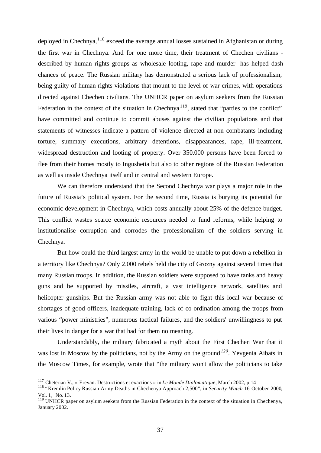deployed in Chechnya,  $118$  exceed the average annual losses sustained in Afghanistan or during the first war in Chechnya. And for one more time, their treatment of Chechen civilians described by human rights groups as wholesale looting, rape and murder- has helped dash chances of peace. The Russian military has demonstrated a serious lack of professionalism, being guilty of human rights violations that mount to the level of war crimes, with operations directed against Chechen civilians. The UNHCR paper on asylum seekers from the Russian Federation in the context of the situation in Chechnya<sup>119</sup>, stated that "parties to the conflict" have committed and continue to commit abuses against the civilian populations and that statements of witnesses indicate a pattern of violence directed at non combatants including torture, summary executions, arbitrary detentions, disappearances, rape, ill-treatment, widespread destruction and looting of property. Over 350.000 persons have been forced to flee from their homes mostly to Ingushetia but also to other regions of the Russian Federation as well as inside Chechnya itself and in central and western Europe.

We can therefore understand that the Second Chechnya war plays a major role in the future of Russia's political system. For the second time, Russia is burying its potential for economic development in Chechnya, which costs annually about 25% of the defence budget. This conflict wastes scarce economic resources needed to fund reforms, while helping to institutionalise corruption and corrodes the professionalism of the soldiers serving in Chechnya.

But how could the third largest army in the world be unable to put down a rebellion in a territory like Chechnya? Only 2.000 rebels held the city of Grozny against several times that many Russian troops. In addition, the Russian soldiers were supposed to have tanks and heavy guns and be supported by missiles, aircraft, a vast intelligence network, satellites and helicopter gunships. But the Russian army was not able to fight this local war because of shortages of good officers, inadequate training, lack of co-ordination among the troops from various "power ministries", numerous tactical failures, and the soldiers' unwillingness to put their lives in danger for a war that had for them no meaning.

Understandably, the military fabricated a myth about the First Chechen War that it was lost in Moscow by the politicians, not by the Army on the ground*<sup>120</sup>*. Yevgenia Aibats in the Moscow Times, for example, wrote that "the military won't allow the politicians to take

<sup>117</sup> Cheterian V., « Erevan. Destructions et exactions » in *Le Monde Diplomatique,* March 2002, p.14

<sup>118</sup> "Kremlin Policy Russian Army Deaths in Chechenya Approach 2,500", in *Security Watch* 16 October 2000, Vol. 1, No. 13.

<sup>&</sup>lt;sup>119</sup> UNHCR paper on asylum seekers from the Russian Federation in the context of the situation in Chechenya, January 2002.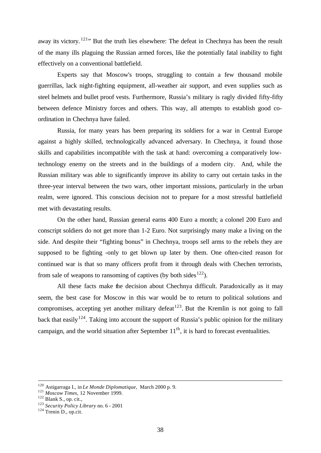away its victory. <sup>121</sup> But the truth lies elsewhere: The defeat in Chechnya has been the result of the many ills plaguing the Russian armed forces, like the potentially fatal inability to fight effectively on a conventional battlefield.

Experts say that Moscow's troops, struggling to contain a few thousand mobile guerrillas, lack night-fighting equipment, all-weather air support, and even supplies such as steel helmets and bullet proof vests. Furthermore, Russia's military is ragly divided fifty-fifty between defence Ministry forces and others. This way, all attempts to establish good coordination in Chechnya have failed.

Russia, for many years has been preparing its soldiers for a war in Central Europe against a highly skilled, technologically advanced adversary. In Chechnya, it found those skills and capabilities incompatible with the task at hand: overcoming a comparatively lowtechnology enemy on the streets and in the buildings of a modern city. And, while the Russian military was able to significantly improve its ability to carry out certain tasks in the three-year interval between the two wars, other important missions, particularly in the urban realm, were ignored. This conscious decision not to prepare for a most stressful battlefield met with devastating results.

On the other hand, Russian general earns 400 Euro a month; a colonel 200 Euro and conscript soldiers do not get more than 1-2 Euro. Not surprisingly many make a living on the side. And despite their "fighting bonus" in Chechnya, troops sell arms to the rebels they are supposed to be fighting -only to get blown up later by them. One often-cited reason for continued war is that so many officers profit from it through deals with Chechen terrorists, from sale of weapons to ransoming of captives (by both sides<sup>122</sup>).

All these facts make the decision about Chechnya difficult. Paradoxically as it may seem, the best case for Moscow in this war would be to return to political solutions and compromises, accepting yet another military defeat  $123$ . But the Kremlin is not going to fall back that easily<sup>124</sup>. Taking into account the support of Russia's public opinion for the military campaign, and the world situation after September  $11<sup>th</sup>$ , it is hard to forecast eventualities.

<sup>120</sup> Astigarraga I., in *Le Monde Diplomatique,* March 2000 p. 9.

<sup>121</sup> *Moscow Times*, 12 November 1999.

<sup>122</sup> Blank S., op. cit.,

<sup>123</sup> *Security Policy Library* no. 6 - 2001

<sup>124</sup> Trenin D., op.cit.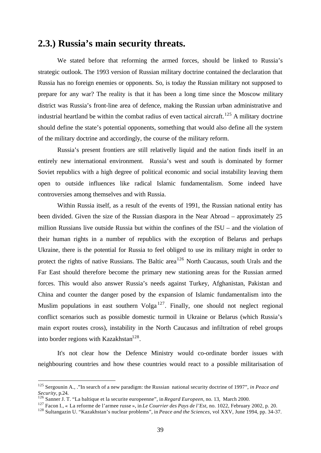## **2.3.) Russia's main security threats.**

We stated before that reforming the armed forces, should be linked to Russia's strategic outlook. The 1993 version of Russian military doctrine contained the declaration that Russia has no foreign enemies or opponents. So, is today the Russian military not supposed to prepare for any war? The reality is that it has been a long time since the Moscow military district was Russia's front-line area of defence, making the Russian urban administrative and industrial heartland be within the combat radius of even tactical aircraft.<sup>125</sup> A military doctrine should define the state's potential opponents, something that would also define all the system of the military doctrine and accordingly, the course of the military reform.

Russia's present frontiers are still relativelly liquid and the nation finds itself in an entirely new international environment. Russia's west and south is dominated by former Soviet republics with a high degree of political economic and social instability leaving them open to outside influences like radical Islamic fundamentalism. Some indeed have controversies among themselves and with Russia.

Within Russia itself, as a result of the events of 1991, the Russian national entity has been divided. Given the size of the Russian diaspora in the Near Abroad – approximately 25 million Russians live outside Russia but within the confines of the fSU – and the violation of their human rights in a number of republics with the exception of Belarus and perhaps Ukraine, there is the potential for Russia to feel obliged to use its military might in order to protect the rights of native Russians. The Baltic area<sup>126</sup> North Caucasus, south Urals and the Far East should therefore become the primary new stationing areas for the Russian armed forces. This would also answer Russia's needs against Turkey, Afghanistan, Pakistan and China and counter the danger posed by the expansion of Islamic fundamentalism into the Muslim populations in east southern  $\text{Volga}^{127}$ . Finally, one should not neglect regional conflict scenarios such as possible domestic turmoil in Ukraine or Belarus (which Russia's main export routes cross), instability in the North Caucasus and infiltration of rebel groups into border regions with Kazakhstan $^{128}$ .

It's not clear how the Defence Ministry would co-ordinate border issues with neighbouring countries and how these countries would react to a possible militarisation of

<sup>125</sup> Sergounin A., ."In search of a new paradigm: the Russian national security doctrine of 1997", *in Peace and Security*, p.24.

<sup>126</sup> Sanner J. T. "La baltique et la securite europeenne", in *Regard Europeen*, no. 13, March 2000.

<sup>127</sup> Facon I., « La reforme de l'armee russe », in *Le Courrier des Pays de l'Est*, no. 1022, February 2002, p. 20.

<sup>128</sup> Sultangazin U. "Kazakhstan's nuclear problems", in *Peace and the Sciences,* vol XXV, June 1994, pp. 34-37.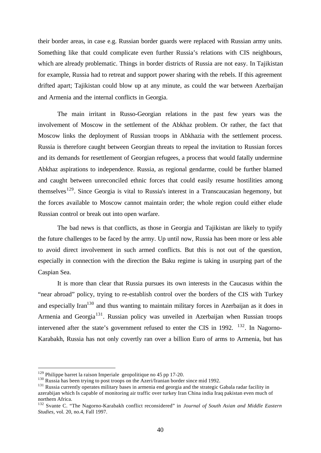their border areas, in case e.g. Russian border guards were replaced with Russian army units. Something like that could complicate even further Russia's relations with CIS neighbours, which are already problematic. Things in border districts of Russia are not easy. In Tajikistan for example, Russia had to retreat and support power sharing with the rebels. If this agreement drifted apart; Tajikistan could blow up at any minute, as could the war between Azerbaijan and Armenia and the internal conflicts in Georgia.

The main irritant in Russo-Georgian relations in the past few years was the involvement of Moscow in the settlement of the Abkhaz problem. Or rather, the fact that Moscow links the deployment of Russian troops in Abkhazia with the settlement process. Russia is therefore caught between Georgian threats to repeal the invitation to Russian forces and its demands for resettlement of Georgian refugees, a process that would fatally undermine Abkhaz aspirations to independence. Russia, as regional gendarme, could be further blamed and caught between unreconciled ethnic forces that could easily resume hostilities among themselves<sup>129</sup>. Since Georgia is vital to Russia's interest in a Transcaucasian hegemony, but the forces available to Moscow cannot maintain order; the whole region could either elude Russian control or break out into open warfare.

The bad news is that conflicts, as those in Georgia and Tajikistan are likely to typify the future challenges to be faced by the army. Up until now, Russia has been more or less able to avoid direct involvement in such armed conflicts. But this is not out of the question, especially in connection with the direction the Baku regime is taking in usurping part of the Caspian Sea.

It is more than clear that Russia pursues its own interests in the Caucasus within the "near abroad" policy, trying to re-establish control over the borders of the CIS with Turkey and especially Iran<sup>130</sup> and thus wanting to maintain military forces in Azerbaijan as it does in Armenia and Georgia<sup>131</sup>. Russian policy was unveiled in Azerbaijan when Russian troops intervened after the state's government refused to enter the CIS in 1992.  $^{132}$ . In Nagorno-Karabakh, Russia has not only covertly ran over a billion Euro of arms to Armenia, but has

 $129$  Philippe barret la raison Imperiale geopolitique no 45 pp 17-20.

<sup>&</sup>lt;sup>130</sup> Russia has been trying to post troops on the Azeri/Iranian border since mid 1992.

<sup>&</sup>lt;sup>131</sup> Russia currently operates military bases in armenia end georgia and the strategic Gabala radar facility in azerabijan which Is capable of monitoring air traffic over turkey Iran China india Iraq pakistan even much of northern Africa.

<sup>132</sup> Svante C. "The Nagorno-Karabakh conflict reconsidered" in *Journal of South Asian and Middle Eastern Studies,* vol. 20, no.4, Fall 1997.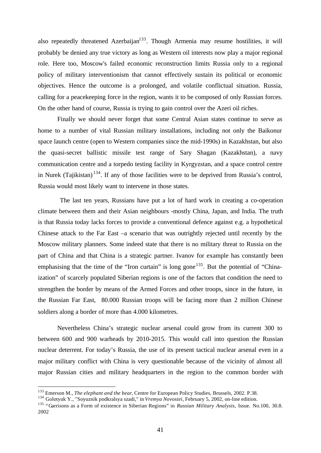also repeatedly threatened Azerbaijan<sup>133</sup>. Though Armenia may resume hostilities, it will probably be denied any true victory as long as Western oil interests now play a major regional role. Here too, Moscow's failed economic reconstruction limits Russia only to a regional policy of military interventionism that cannot effectively sustain its political or economic objectives. Hence the outcome is a prolonged, and volatile conflictual situation. Russia, calling for a peacekeeping force in the region, wants it to be composed of only Russian forces. On the other hand of course, Russia is trying to gain control over the Azeri oil riches.

Finally we should never forget that some Central Asian states continue to serve as home to a number of vital Russian military installations, including not only the Baikonur space launch centre (open to Western companies since the mid-1990s) in Kazakhstan, but also the quasi-secret ballistic missile test range of Sary Shagan (Kazakhstan), a navy communication centre and a torpedo testing facility in Kyrgyzstan, and a space control centre in Nurek (Tajikistan)<sup>134</sup>. If any of those facilities were to be deprived from Russia's control, Russia would most likely want to intervene in those states.

 The last ten years, Russians have put a lot of hard work in creating a co-operation climate between them and their Asian neighbours -mostly China, Japan, and India. The truth is that Russia today lacks forces to provide a conventional defence against e.g. a hypothetical Chinese attack to the Far East –a scenario that was outrightly rejected until recently by the Moscow military planners. Some indeed state that there is no military threat to Russia on the part of China and that China is a strategic partner. Ivanov for example has constantly been emphasising that the time of the "Iron curtain" is long gone<sup>135</sup>. But the potential of "Chinaization" of scarcely populated Siberian regions is one of the factors that condition the need to strengthen the border by means of the Armed Forces and other troops, since in the future, in the Russian Far East, 80.000 Russian troops will be facing more than 2 million Chinese soldiers along a border of more than 4.000 kilometres.

Nevertheless China's strategic nuclear arsenal could grow from its current 300 to between 600 and 900 warheads by 2010-2015. This would call into question the Russian nuclear deterrent. For today's Russia, the use of its present tactical nuclear arsenal even in a major military conflict with China is very questionable because of the vicinity of almost all major Russian cities and military headquarters in the region to the common border with

<sup>133</sup> Emerson M., *The elephant and the bear*, Centre for European Policy Studies, Brussels, 2002. P.38.

<sup>134</sup> Golotyuk Y., "Soyuznik podkralsya szadi," in *Vremya Novostei*, February 5, 2002, on-line edition.

<sup>135</sup> "Garrisons as a Form of existence in Siberian Regions" in *Russian Military Analysis*, Issue. No.100, 30.8. 2002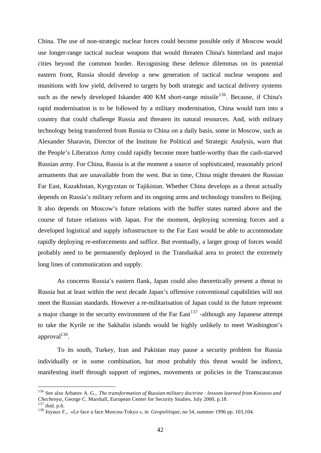China. The use of non-strategic nuclear forces could become possible only if Moscow would use longer-range tactical nuclear weapons that would threaten China's hinterland and major cities beyond the common border. Recognising these defence dilemmas on its potential eastern front, Russia should develop a new generation of tactical nuclear weapons and munitions with low yield, delivered to targets by both strategic and tactical delivery systems such as the newly developed Iskander 400 KM short-range missile<sup>136</sup>. Because, if China's rapid modernisation is to be followed by a military modernisation, China would turn into a country that could challenge Russia and threaten its natural resources. And, with military technology being transferred from Russia to China on a daily basis, some in Moscow, such as Alexander Sharavin, Director of the Institute for Political and Strategic Analysis, warn that the People's Liberation Army could rapidly become more battle-worthy than the cash-starved Russian army. For China, Russia is at the moment a source of sophisticated, reasonably priced armaments that are unavailable from the west. But in time, China might threaten the Russian Far East, Kazakhstan, Kyrgyzstan or Tajikistan. Whether China develops as a threat actually depends on Russia's military reform and its ongoing arms and technology transfers to Beijing. It also depends on Moscow's future relations with the buffer states named above and the course of future relations with Japan. For the moment, deploying screening forces and a developed logistical and supply infrastructure to the Far East would be able to accommodate rapidly deploying re-enforcements and suffice. But eventually, a larger group of forces would probably need to be permanently deployed in the Transbaikal area to protect the extremely long lines of communication and supply.

As concerns Russia's eastern flank, Japan could also theoretically present a threat to Russia but at least within the next decade Japan's offensive conventional capabilities will not meet the Russian standards. However a re-militarisation of Japan could in the future represent a major change in the security environment of the Far East<sup>137</sup> -although any Japanese attempt to take the Kyrile or the Sakhalin islands would be highly unlikely to meet Washington's approval<sup>138</sup>.

To its south, Turkey, Iran and Pakistan may pause a security problem for Russia individually or in some combination, but most probably this threat would be indirect, manifesting itself through support of regimes, movements or policies in the Transcaucasus

<sup>136</sup> See also Arbatov A. G., *The transformation of Russian military doctrine : lessons learned from Kossovo and Chechenya*, George C. Marshall, European Center for Security Studies, July 2000, p.18.

<sup>137</sup> ibid. p.6.

<sup>138</sup> Joyaux F., «Le face a face Moscou-Tokyo », in *Geopolitique*, no 54, summer 1996 pp. 103,104.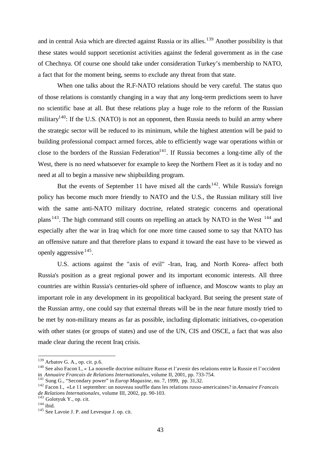and in central Asia which are directed against Russia or its allies.<sup>139</sup> Another possibility is that these states would support secetionist activities against the federal government as in the case of Chechnya. Of course one should take under consideration Turkey's membership to NATO, a fact that for the moment being, seems to exclude any threat from that state.

When one talks about the R.F-NATO relations should be very careful. The status quo of those relations is constantly changing in a way that any long-term predictions seem to have no scientific base at all. But these relations play a huge role to the reform of the Russian military<sup>140</sup>: If the U.S. (NATO) is not an opponent, then Russia needs to build an army where the strategic sector will be reduced to its minimum, while the highest attention will be paid to building professional compact armed forces, able to efficiently wage war operations within or close to the borders of the Russian Federation<sup>141</sup>. If Russia becomes a long-time ally of the West, there is no need whatsoever for example to keep the Northern Fleet as it is today and no need at all to begin a massive new shipbuilding program.

But the events of September 11 have mixed all the cards<sup>142</sup>. While Russia's foreign policy has become much more friendly to NATO and the U.S., the Russian military still live with the same anti-NATO military doctrine, related strategic concerns and operational plans  $143$ . The high command still counts on repelling an attack by NATO in the West  $144$  and especially after the war in Iraq which for one more time caused some to say that NATO has an offensive nature and that therefore plans to expand it toward the east have to be viewed as openly aggressive <sup>145</sup>.

U.S. actions against the "axis of evil" -Iran, Iraq, and North Korea- affect both Russia's position as a great regional power and its important economic interests. All three countries are within Russia's centuries-old sphere of influence, and Moscow wants to play an important role in any development in its geopolitical backyard. But seeing the present state of the Russian army, one could say that external threats will be in the near future mostly tried to be met by non-military means as far as possible, including diplomatic initiatives, co-operation with other states (or groups of states) and use of the UN, CIS and OSCE, a fact that was also made clear during the recent Iraq crisis.

 $139$  Arbatov G. A., op. cit. p.6.

<sup>&</sup>lt;sup>140</sup> See also Facon I., « La nouvelle doctrine militaire Russe et l'avenir des relations entre la Russie et l'occident in *Annuaire Francais de Relations Internationales*, volume II, 2001, pp. 733-754.

<sup>141</sup> Sung G., "Secondary power" in *Europ Magasine*, no. 7, 1999, pp. 31,32.

<sup>142</sup> Facon I., «Le 11 septembre: un nouveau souffle dans les relations russo-americaines? in *Annuaire Francais de Relations Internationales*, volume III, 2002, pp. 90-103.

 $143$  Golotyuk Y., op. cit.

 $144$  ibid.

<sup>&</sup>lt;sup>145</sup> See Lavoie J. P. and Levesque J. op. cit.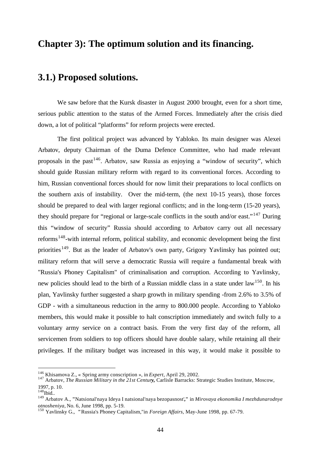# **Chapter 3): The optimum solution and its financing.**

# **3.1.) Proposed solutions.**

We saw before that the Kursk disaster in August 2000 brought, even for a short time, serious public attention to the status of the Armed Forces. Immediately after the crisis died down, a lot of political "platforms" for reform projects were erected.

The first political project was advanced by Yabloko. Its main designer was Alexei Arbatov, deputy Chairman of the Duma Defence Committee, who had made relevant proposals in the past<sup>146</sup>. Arbatov, saw Russia as enjoying a "window of security", which should guide Russian military reform with regard to its conventional forces. According to him, Russian conventional forces should for now limit their preparations to local conflicts on the southern axis of instability. Over the mid-term, (the next 10-15 years), those forces should be prepared to deal with larger regional conflicts; and in the long-term (15-20 years), they should prepare for "regional or large-scale conflicts in the south and/or east."<sup>147</sup> During this "window of security" Russia should according to Arbatov carry out all necessary reforms<sup>148</sup>-with internal reform, political stability, and economic development being the first priorities<sup>149</sup>. But as the leader of Arbatov's own party, Grigory Yavlinsky has pointed out; military reform that will serve a democratic Russia will require a fundamental break with "Russia's Phoney Capitalism" of criminalisation and corruption. According to Yavlinsky, new policies should lead to the birth of a Russian middle class in a state under law<sup>150</sup>. In his plan, Yavlinsky further suggested a sharp growth in military spending -from 2.6% to 3.5% of GDP - with a simultaneous reduction in the army to 800.000 people. According to Yabloko members, this would make it possible to halt conscription immediately and switch fully to a voluntary army service on a contract basis. From the very first day of the reform, all servicemen from soldiers to top officers should have double salary, while retaining all their privileges. If the military budget was increased in this way, it would make it possible to

<sup>146</sup> Khisamova Z., « Spring army conscription », in *Expert*, April 29, 2002.

<sup>147</sup> Arbatov, *The Russian Military in the 21st Century,* Carlisle Barracks: Strategic Studies Institute, Moscow, 1997, p. 10.

 $148$ Ibid..

<sup>149</sup> Arbatov A., **"**Natsional'naya Ideya I natsional'naya bezopasnost'**,"** in *Mirovaya ekonomika I mezhdunarodnye otnosheniya,* No. 6, June 1998, pp. 5-19.

<sup>150</sup> Yavlinsky G., **"**Russia's Phoney Capitalism,"in *Foreign Affairs,* May-June 1998, pp. 67-79.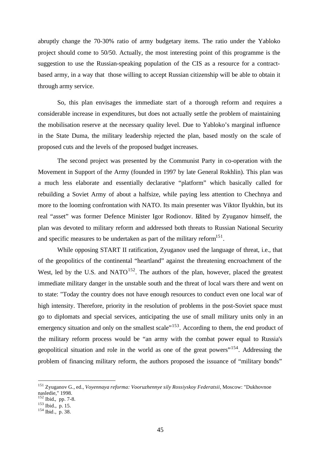abruptly change the 70-30% ratio of army budgetary items. The ratio under the Yabloko project should come to 50/50. Actually, the most interesting point of this programme is the suggestion to use the Russian-speaking population of the CIS as a resource for a contractbased army, in a way that those willing to accept Russian citizenship will be able to obtain it through army service.

So, this plan envisages the immediate start of a thorough reform and requires a considerable increase in expenditures, but does not actually settle the problem of maintaining the mobilisation reserve at the necessary quality level. Due to Yabloko's marginal influence in the State Duma, the military leadership rejected the plan, based mostly on the scale of proposed cuts and the levels of the proposed budget increases.

The second project was presented by the Communist Party in co-operation with the Movement in Support of the Army (founded in 1997 by late General Rokhlin). This plan was a much less elaborate and essentially declarative "platform" which basically called for rebuilding a Soviet Army of about a halfsize, while paying less attention to Chechnya and more to the looming confrontation with NATO. Its main presenter was Viktor Ilyukhin, but its real "asset" was former Defence Minister Igor Rodionov. Edited by Zyuganov himself, the plan was devoted to military reform and addressed both threats to Russian National Security and specific measures to be undertaken as part of the military reform $151$ .

While opposing START II ratification, Zyuganov used the language of threat, i.e., that of the geopolitics of the continental "heartland" against the threatening encroachment of the West, led by the U.S. and NATO $152$ . The authors of the plan, however, placed the greatest immediate military danger in the unstable south and the threat of local wars there and went on to state: "Today the country does not have enough resources to conduct even one local war of high intensity. Therefore, priority in the resolution of problems in the post-Soviet space must go to diplomats and special services, anticipating the use of small military units only in an emergency situation and only on the smallest scale"<sup>153</sup>. According to them, the end product of the military reform process would be "an army with the combat power equal to Russia's geopolitical situation and role in the world as one of the great powers"<sup>154</sup>. Addressing the problem of financing military reform, the authors proposed the issuance of "military bonds"

<sup>151</sup> Zyuganov G., ed., *Voyennaya reforma: Vooruzhennye sily Rossiyskoy Federatsii,* Moscow: "Dukhovnoe nasledie," 1998.

 $152$  Ibid., pp. 7-8.

 $153$  Ibid., p. 15.

 $154$  Ibid., p. 38.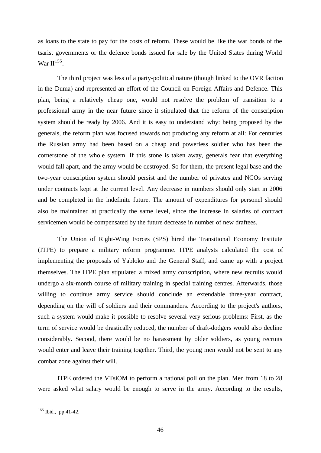as loans to the state to pay for the costs of reform. These would be like the war bonds of the tsarist governments or the defence bonds issued for sale by the United States during World War II<sup>155</sup>.

The third project was less of a party-political nature (though linked to the OVR faction in the Duma) and represented an effort of the Council on Foreign Affairs and Defence. This plan, being a relatively cheap one, would not resolve the problem of transition to a professional army in the near future since it stipulated that the reform of the conscription system should be ready by 2006. And it is easy to understand why: being proposed by the generals, the reform plan was focused towards not producing any reform at all: For centuries the Russian army had been based on a cheap and powerless soldier who has been the cornerstone of the whole system. If this stone is taken away, generals fear that everything would fall apart, and the army would be destroyed. So for them, the present legal base and the two-year conscription system should persist and the number of privates and NCOs serving under contracts kept at the current level. Any decrease in numbers should only start in 2006 and be completed in the indefinite future. The amount of expenditures for personel should also be maintained at practically the same level, since the increase in salaries of contract servicemen would be compensated by the future decrease in number of new draftees.

The Union of Right-Wing Forces (SPS) hired the Transitional Economy Institute (ITPE) to prepare a military reform programme. ITPE analysts calculated the cost of implementing the proposals of Yabloko and the General Staff, and came up with a project themselves. The ITPE plan stipulated a mixed army conscription, where new recruits would undergo a six-month course of military training in special training centres. Afterwards, those willing to continue army service should conclude an extendable three-year contract, depending on the will of soldiers and their commanders. According to the project's authors, such a system would make it possible to resolve several very serious problems: First, as the term of service would be drastically reduced, the number of draft-dodgers would also decline considerably. Second, there would be no harassment by older soldiers, as young recruits would enter and leave their training together. Third, the young men would not be sent to any combat zone against their will.

ITPE ordered the VTsiOM to perform a national poll on the plan. Men from 18 to 28 were asked what salary would be enough to serve in the army. According to the results,

<sup>&</sup>lt;sup>155</sup> Ibid., pp.41-42.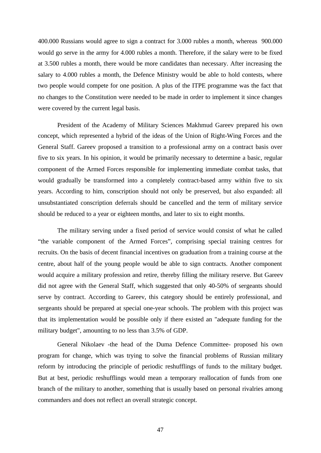400.000 Russians would agree to sign a contract for 3.000 rubles a month, whereas 900.000 would go serve in the army for 4.000 rubles a month. Therefore, if the salary were to be fixed at 3.500 rubles a month, there would be more candidates than necessary. After increasing the salary to 4.000 rubles a month, the Defence Ministry would be able to hold contests, where two people would compete for one position. A plus of the ITPE programme was the fact that no changes to the Constitution were needed to be made in order to implement it since changes were covered by the current legal basis.

President of the Academy of Military Sciences Makhmud Gareev prepared his own concept, which represented a hybrid of the ideas of the Union of Right-Wing Forces and the General Staff. Gareev proposed a transition to a professional army on a contract basis over five to six years. In his opinion, it would be primarily necessary to determine a basic, regular component of the Armed Forces responsible for implementing immediate combat tasks, that would gradually be transformed into a completely contract-based army within five to six years. According to him, conscription should not only be preserved, but also expanded: all unsubstantiated conscription deferrals should be cancelled and the term of military service should be reduced to a year or eighteen months, and later to six to eight months.

The military serving under a fixed period of service would consist of what he called "the variable component of the Armed Forces", comprising special training centres for recruits. On the basis of decent financial incentives on graduation from a training course at the centre, about half of the young people would be able to sign contracts. Another component would acquire a military profession and retire, thereby filling the military reserve. But Gareev did not agree with the General Staff, which suggested that only 40-50% of sergeants should serve by contract. According to Gareev, this category should be entirely professional, and sergeants should be prepared at special one-year schools. The problem with this project was that its implementation would be possible only if there existed an "adequate funding for the military budget", amounting to no less than 3.5% of GDP.

General Nikolaev -the head of the Duma Defence Committee- proposed his own program for change, which was trying to solve the financial problems of Russian military reform by introducing the principle of periodic reshufflings of funds to the military budget. But at best, periodic reshufflings would mean a temporary reallocation of funds from one branch of the military to another, something that is usually based on personal rivalries among commanders and does not reflect an overall strategic concept.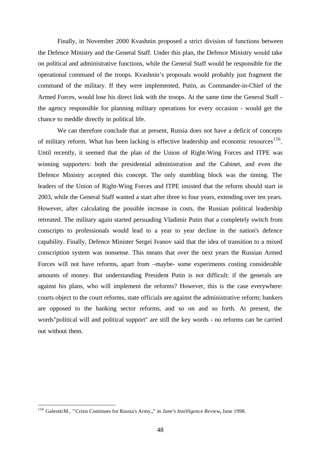Finally, in November 2000 Kvashnin proposed a strict division of functions between the Defence Ministry and the General Staff. Under this plan, the Defence Ministry would take on political and administrative functions, while the General Staff would be responsible for the operational command of the troops. Kvashnin's proposals would probably just fragment the command of the military. If they were implemented, Putin, as Commander-in-Chief of the Armed Forces, would lose his direct link with the troops. At the same time the General Staff the agency responsible for planning military operations for every occasion - would get the chance to meddle directly in political life.

We can therefore conclude that at present, Russia does not have a deficit of concepts of military reform. What has been lacking is effective leadership and economic resources<sup>156</sup>. Until recently, it seemed that the plan of the Union of Right-Wing Forces and ITPE was winning supporters: both the presidential administration and the Cabinet, and even the Defence Ministry accepted this concept. The only stumbling block was the timing. The leaders of the Union of Right-Wing Forces and ITPE insisted that the reform should start in 2003, while the General Staff wanted a start after three to four years, extending over ten years. However, after calculating the possible increase in costs, the Russian political leadership retreated. The military again started persuading Vladimir Putin that a completely switch from conscripts to professionals would lead to a year to year decline in the nation's defence capability. Finally, Defence Minister Sergei Ivanov said that the idea of transition to a mixed conscription system was nonsense. This means that over the next years the Russian Armed Forces will not have reforms, apart from –maybe- some experiments costing considerable amounts of money. But understanding President Putin is not difficult: if the generals are against his plans, who will implement the reforms? However, this is the case everywhere: courts object to the court reforms, state officials are against the administrative reform; bankers are opposed to the banking sector reforms, and so on and so forth. At present, the words"political will and political support" are still the key words - no reforms can be carried out without them.

<sup>156</sup> GaleottiM., **"**Crisis Continues for Russia's Army **,"** in *Jane's Intelligence Review,* June 1998.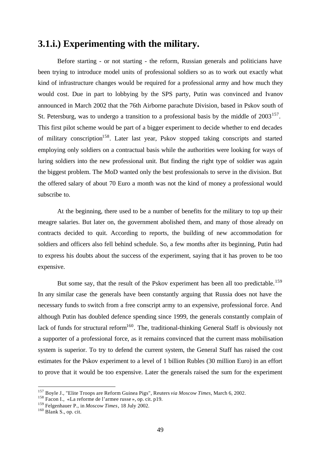# **3.1.i.) Experimenting with the military.**

Before starting - or not starting - the reform, Russian generals and politicians have been trying to introduce model units of professional soldiers so as to work out exactly what kind of infrastructure changes would be required for a professional army and how much they would cost. Due in part to lobbying by the SPS party, Putin was convinced and Ivanov announced in March 2002 that the 76th Airborne parachute Division, based in Pskov south of St. Petersburg, was to undergo a transition to a professional basis by the middle of  $2003^{157}$ . This first pilot scheme would be part of a bigger experiment to decide whether to end decades of military conscription<sup>158</sup>. Later last year, Pskov stopped taking conscripts and started employing only soldiers on a contractual basis while the authorities were looking for ways of luring soldiers into the new professional unit. But finding the right type of soldier was again the biggest problem. The MoD wanted only the best professionals to serve in the division. But the offered salary of about 70 Euro a month was not the kind of money a professional would subscribe to.

At the beginning, there used to be a number of benefits for the military to top up their meagre salaries. But later on, the government abolished them, and many of those already on contracts decided to quit. According to reports, the building of new accommodation for soldiers and officers also fell behind schedule. So, a few months after its beginning, Putin had to express his doubts about the success of the experiment, saying that it has proven to be too expensive.

But some say, that the result of the Pskov experiment has been all too predictable.<sup>159</sup> In any similar case the generals have been constantly arguing that Russia does not have the necessary funds to switch from a free conscript army to an expensive, professional force. And although Putin has doubled defence spending since 1999, the generals constantly complain of lack of funds for structural reform<sup>160</sup>. The, traditional-thinking General Staff is obviously not a supporter of a professional force, as it remains convinced that the current mass mobilisation system is superior. To try to defend the current system, the General Staff has raised the cost estimates for the Pskov experiment to a level of 1 billion Rubles (30 million Euro) in an effort to prove that it would be too expensive. Later the generals raised the sum for the experiment

<sup>157</sup> Boyle J., "Elite Troops are Reform Guinea Pigs", Reuters *via Moscow Times*, March 6, 2002.

<sup>158</sup> Facon I., «La reforme de l'armee russe », op. cit. p19.

<sup>159</sup> Felgenhauer P., in *Moscow Times*, 18 July 2002.

 $160$  Blank S., op. cit.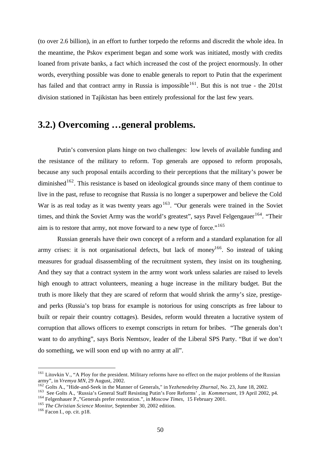(to over 2.6 billion), in an effort to further torpedo the reforms and discredit the whole idea. In the meantime, the Pskov experiment began and some work was initiated, mostly with credits loaned from private banks, a fact which increased the cost of the project enormously. In other words, everything possible was done to enable generals to report to Putin that the experiment has failed and that contract army in Russia is impossible<sup>161</sup>. But this is not true - the 201st division stationed in Tajikistan has been entirely professional for the last few years.

# **3.2.) Overcoming …general problems.**

Putin's conversion plans hinge on two challenges: low levels of available funding and the resistance of the military to reform. Top generals are opposed to reform proposals, because any such proposal entails according to their perceptions that the military's power be diminished<sup>162</sup>. This resistance is based on ideological grounds since many of them continue to live in the past, refuse to recognise that Russia is no longer a superpower and believe the Cold War is as real today as it was twenty years ago  $163$ . "Our generals were trained in the Soviet times, and think the Soviet Army was the world's greatest", says Pavel Felgengauer<sup>164</sup>. "Their aim is to restore that army, not move forward to a new type of force."<sup>165</sup>

Russian generals have their own concept of a reform and a standard explanation for all army crises: it is not organisational defects, but lack of money<sup>166</sup>. So instead of taking measures for gradual disassembling of the recruitment system, they insist on its toughening. And they say that a contract system in the army wont work unless salaries are raised to levels high enough to attract volunteers, meaning a huge increase in the military budget. But the truth is more likely that they are scared of reform that would shrink the army's size, prestigeand perks (Russia's top brass for example is notorious for using conscripts as free labour to built or repair their country cottages). Besides, reform would threaten a lucrative system of corruption that allows officers to exempt conscripts in return for bribes. "The generals don't want to do anything", says Boris Nemtsov, leader of the Liberal SPS Party. "But if we don't do something, we will soon end up with no army at all".

<sup>&</sup>lt;sup>161</sup> Litovkin V., "A Ploy for the president. Military reforms have no effect on the major problems of the Russian army", in *Vremya MN,* 29 August, 2002.

<sup>162</sup> Golts A., "Hide-and-Seek in the Manner of Generals," in *Yezhenedelny Zhurnal*, No. 23, June 18, 2002.

<sup>163</sup> See Golts A., 'Russia's General Staff Resisting Putin's Fore Reforms' , in *Kommersant*, 19 April 2002, p4.

<sup>164</sup> Felgenhauer P.,"Generals prefer restoration.", in *Moscow Times*, 15 February 2001.

<sup>165</sup> *The Christian Science Monitor*, September 30, 2002 edition.

<sup>166</sup> Facon I., op. cit. p18.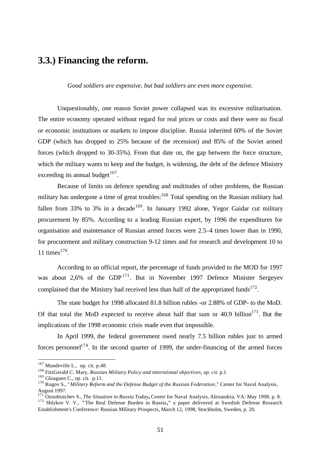## **3.3.) Financing the reform.**

*Good soldiers are expensive, but bad soldiers are even more expensive.*

Unquestionably, one reason Soviet power collapsed was its excessive militarisation. The entire economy operated without regard for real prices or costs and there were no fiscal or economic institutions or markets to impose discipline. Russia inherited 60% of the Soviet GDP (which has dropped to 25% because of the recession) and 85% of the Soviet armed forces (which dropped to 30-35%). From that date on, the gap between the force structure, which the military wants to keep and the budget, is widening, the debt of the defence Ministry exceeding its annual budget<sup>167</sup>.

Because of limits on defence spending and multitudes of other problems, the Russian military has undergone a time of great troubles:<sup>168</sup> Total spending on the Russian military had fallen from 33% to 3% in a decade<sup>169</sup>. In January 1992 alone, Yegor Gaidar cut military procurement by 85%. According to a leading Russian expert, by 1996 the expenditures for organisation and maintenance of Russian armed forces were 2.5–4 times lower than in 1990, for procurement and military construction 9-12 times and for research and development 10 to 11 times $170$ .

According to an official report, the percentage of funds provided to the MOD for 1997 was about 2,6% of the  $GDP<sup>171</sup>$ . But in November 1997 Defence Minister Sergeyev complained that the Ministry had received less than half of the appropriated funds<sup>172</sup>.

The state budget for 1998 allocated 81.8 billion rubles -or 2.88% of GDP- to the MoD. Of that total the MoD expected to receive about half that sum or  $40.9$  billion<sup>173</sup>. But the implications of the 1998 economic crisis made even that impossible.

In April 1999, the federal government owed nearly 7.5 billion rubles just to armed forces personnel<sup>174</sup>. In the second quarter of 1999, the under-financing of the armed forces

 $167$  Mandeville L., op. cit. p.48.

<sup>&</sup>lt;sup>168</sup> FitzGerald C. Mary, *Russian Military Policy and interntional objectives, op. cit.* p.1.

<sup>169</sup> Gloaguen C., op. cit. p.11.

<sup>&</sup>lt;sup>170</sup> Rogov S., "*Military Reform and the Defense Budget of the Russian Federation*," Center for Naval Analysis, August 1997.

<sup>171</sup> Oznobistchev S., *The Situation in Russia Today***,** Center for Naval Analysis, Alexandria, VA: May 1998, p. 8.

<sup>172</sup> Shlykov V. V., **"**The Real Defense Burden in Russia**,"** a paper delivered at Swedish Defense Research Establishment's Conference: Russian Military Prospects, March 12, 1998, Stockholm, Sweden, p. 20.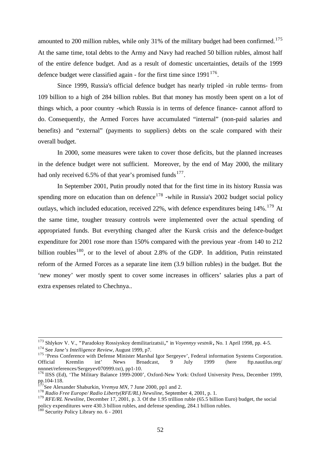amounted to 200 million rubles, while only 31% of the military budget had been confirmed.<sup>175</sup> At the same time, total debts to the Army and Navy had reached 50 billion rubles, almost half of the entire defence budget. And as a result of domestic uncertainties, details of the 1999 defence budget were classified again - for the first time since  $1991^{176}$ .

Since 1999, Russia's official defence budget has nearly tripled -in ruble terms- from 109 billion to a high of 284 billion rubles. But that money has mostly been spent on a lot of things which, a poor country -which Russia is in terms of defence finance- cannot afford to do. Consequently, the Armed Forces have accumulated "internal" (non-paid salaries and benefits) and "external" (payments to suppliers) debts on the scale compared with their overall budget.

In 2000, some measures were taken to cover those deficits, but the planned increases in the defence budget were not sufficient. Moreover, by the end of May 2000, the military had only received 6.5% of that year's promised funds<sup>177</sup>.

In September 2001, Putin proudly noted that for the first time in its history Russia was spending more on education than on defence<sup>178</sup> -while in Russia's 2002 budget social policy outlays, which included education, received 22%, with defence expenditures being 14%.<sup>179</sup> At the same time, tougher treasury controls were implemented over the actual spending of appropriated funds. But everything changed after the Kursk crisis and the defence-budget expenditure for 2001 rose more than 150% compared with the previous year -from 140 to 212 billion roubles<sup>180</sup>, or to the level of about 2.8% of the GDP. In addition, Putin reinstated reform of the Armed Forces as a separate line item (3.9 billion rubles) in the budget. But the 'new money' wer mostly spent to cover some increases in officers' salaries plus a part of extra expenses related to Chechnya..

 $\overline{\phantom{a}}$ 

<sup>173</sup> Shlykov V. V., **"**Paradoksy Rossiyskoy demilitarizatsii**,"** in *Voyennyy vestnik ,* No. 1 April 1998, pp. 4-5.

<sup>174</sup> See *Jane's Intelligence Review*, August 1999, p7.

<sup>&</sup>lt;sup>175</sup> 'Press Conference with Defense Minister Marshal Igor Sergeyev', Federal information Systems Corporation. Official Kremlin int' News Broadcast, 9 July 1999 (here ftp.nautilus.org/ nnnnet/references/Sergeyev070999.txt), pp1-10.

<sup>176</sup> IISS (Ed), 'The Military Balance 1999-2000', Oxford-New York: Oxford University Press, December 1999, pp.104-118.

See Alexander Shaburkin, *Vremya MN*, 7 June 2000, pp1 and 2.

<sup>178</sup> *Radio Free Europe/ Radio Liberty(RFE/RL) Newsline*, September 4, 2001, p. 1.

<sup>&</sup>lt;sup>179</sup> *RFE/RL Newsline*, December 17, 2001, p. 3. Of the 1.95 trillion ruble (65.5 billion Euro) budget, the social policy expenditures were 430.3 billion rubles, and defense spending, 284.1 billion rubles.

<sup>&</sup>lt;sup>180</sup> Security Policy Library no. 6 - 2001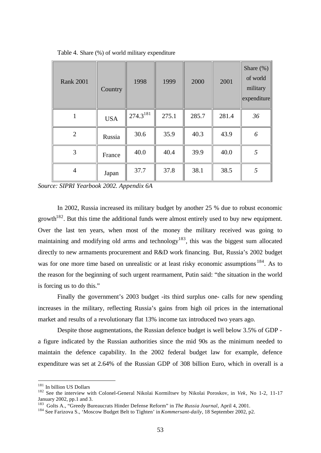| <b>Rank 2001</b> | Country    | 1998          | 1999  | 2000  | 2001  | Share $(\%)$<br>of world<br>military<br>expenditure |
|------------------|------------|---------------|-------|-------|-------|-----------------------------------------------------|
|                  | <b>USA</b> | $274.3^{181}$ | 275.1 | 285.7 | 281.4 | 36                                                  |
| 2                | Russia     | 30.6          | 35.9  | 40.3  | 43.9  | 6                                                   |
| 3                | France     | 40.0          | 40.4  | 39.9  | 40.0  | 5                                                   |
| 4                | Japan      | 37.7          | 37.8  | 38.1  | 38.5  | 5                                                   |

Table 4. Share (%) of world military expenditure

*Source: SIPRI Yearbook 2002. Appendix 6A*

In 2002, Russia increased its military budget by another 25 % due to robust economic growth<sup>182</sup>. But this time the additional funds were almost entirely used to buy new equipment. Over the last ten years, when most of the money the military received was going to maintaining and modifying old arms and technology<sup>183</sup>, this was the biggest sum allocated directly to new armaments procurement and R&D work financing. But, Russia's 2002 budget was for one more time based on unrealistic or at least risky economic assumptions <sup>184</sup>. As to the reason for the beginning of such urgent rearmament, Putin said: "the situation in the world is forcing us to do this."

Finally the government's 2003 budget -its third surplus one- calls for new spending increases in the military, reflecting Russia's gains from high oil prices in the international market and results of a revolutionary flat 13% income tax introduced two years ago.

Despite those augmentations, the Russian defence budget is well below 3.5% of GDP a figure indicated by the Russian authorities since the mid 90s as the minimum needed to maintain the defence capability. In the 2002 federal budget law for example, defence expenditure was set at 2.64% of the Russian GDP of 308 billion Euro, which in overall is a

<sup>&</sup>lt;sup>181</sup> In billion US Dollars

<sup>182</sup> See the interview with Colonel-General Nikolai Kormiltsev by Nikolai Poroskov, in *Vek*, No 1-2, 11-17 January 2002, pp.1 and 3.

<sup>183</sup> Golts A., "Greedy Bureaucrats Hinder Defense Reform" in *The Russia Journal*, April 4, 2001.

<sup>184</sup> See Farizova S., 'Moscow Budget Belt to Tighten' in *Kommersant-daily*, 18 September 2002, p2.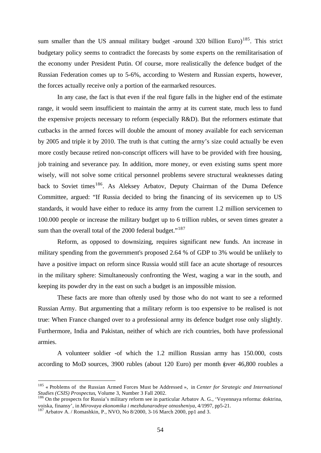sum smaller than the US annual military budget -around 320 billion Euro)<sup>185</sup>. This strict budgetary policy seems to contradict the forecasts by some experts on the remilitarisation of the economy under President Putin. Of course, more realistically the defence budget of the Russian Federation comes up to 5-6%, according to Western and Russian experts, however, the forces actually receive only a portion of the earmarked resources.

In any case, the fact is that even if the real figure falls in the higher end of the estimate range, it would seem insufficient to maintain the army at its current state, much less to fund the expensive projects necessary to reform (especially R&D). But the reformers estimate that cutbacks in the armed forces will double the amount of money available for each serviceman by 2005 and triple it by 2010. The truth is that cutting the army's size could actually be even more costly because retired non-conscript officers will have to be provided with free housing, job training and severance pay. In addition, more money, or even existing sums spent more wisely, will not solve some critical personnel problems severe structural weaknesses dating back to Soviet times<sup>186</sup>. As Aleksey Arbatov, Deputy Chairman of the Duma Defence Committee, argued: "If Russia decided to bring the financing of its servicemen up to US standards, it would have either to reduce its army from the current 1.2 million servicemen to 100.000 people or increase the military budget up to 6 trillion rubles, or seven times greater a sum than the overall total of the 2000 federal budget."<sup>187</sup>

Reform, as opposed to downsizing, requires significant new funds. An increase in military spending from the government's proposed 2.64 % of GDP to 3% would be unlikely to have a positive impact on reform since Russia would still face an acute shortage of resources in the military sphere: Simultaneously confronting the West, waging a war in the south, and keeping its powder dry in the east on such a budget is an impossible mission.

These facts are more than oftenly used by those who do not want to see a reformed Russian Army. But argumenting that a military reform is too expensive to be realised is not true: When France changed over to a professional army its defence budget rose only slightly. Furthermore, India and Pakistan, neither of which are rich countries, both have professional armies.

A volunteer soldier -of which the 1.2 million Russian army has 150.000, costs according to MoD sources, 3900 rubles (about 120 Euro) per month (over 46,800 roubles a

<sup>185</sup> « Problems of the Russian Armed Forces Must be Addressed », in *Center for Strategic and International Studies (CSIS) Prospectus*, Volume 3, Number 3 Fall 2002.

<sup>&</sup>lt;sup>186</sup> On the prospects for Russia's military reform see in particular Arbatov A. G., 'Voyennaya reforma: doktrina, voiska, finansy', in *Mirovaya ekonomika i mezhdunarodnye otnosheniya*, 4/1997, pp5-21.

<sup>&</sup>lt;sup>187</sup> Arbatov A. / Romashkin, P., NVO, No  $8/2000$ , 3-16 March 2000, pp1 and 3.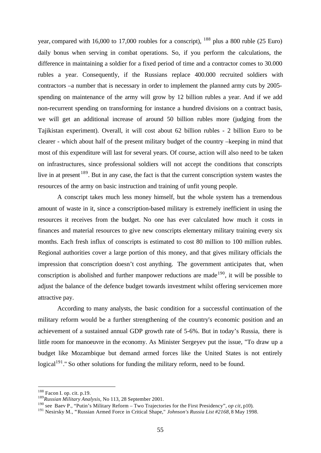year, compared with 16,000 to 17,000 roubles for a conscript),  $^{188}$  plus a 800 ruble (25 Euro) daily bonus when serving in combat operations. So, if you perform the calculations, the difference in maintaining a soldier for a fixed period of time and a contractor comes to 30.000 rubles a year. Consequently, if the Russians replace 400.000 recruited soldiers with contractors –a number that is necessary in order to implement the planned army cuts by 2005 spending on maintenance of the army will grow by 12 billion rubles a year. And if we add non-recurrent spending on transforming for instance a hundred divisions on a contract basis, we will get an additional increase of around 50 billion rubles more (judging from the Tajikistan experiment). Overall, it will cost about 62 billion rubles - 2 billion Euro to be clearer - which about half of the present military budget of the country –keeping in mind that most of this expenditure will last for several years. Of course, action will also need to be taken on infrastructures, since professional soldiers will not accept the conditions that conscripts live in at present <sup>189</sup>. But in any case, the fact is that the current conscription system wastes the resources of the army on basic instruction and training of unfit young people.

A conscript takes much less money himself, but the whole system has a tremendous amount of waste in it, since a conscription-based military is extremely inefficient in using the resources it receives from the budget. No one has ever calculated how much it costs in finances and material resources to give new conscripts elementary military training every six months. Each fresh influx of conscripts is estimated to cost 80 million to 100 million rubles. Regional authorities cover a large portion of this money, and that gives military officials the impression that conscription doesn't cost anything. The government anticipates that, when conscription is abolished and further manpower reductions are made  $190$ , it will be possible to adjust the balance of the defence budget towards investment whilst offering servicemen more attractive pay.

According to many analysts, the basic condition for a successful continuation of the military reform would be a further strengthening of the country's economic position and an achievement of a sustained annual GDP growth rate of 5-6%. But in today's Russia, there is little room for manoeuvre in the economy. As Minister Sergeyev put the issue, "To draw up a budget like Mozambique but demand armed forces like the United States is not entirely logical<sup>191</sup>." So other solutions for funding the military reform, need to be found.

<sup>&</sup>lt;sup>188</sup> Facon I. op. cit. p.19.

<sup>189</sup>*Russian Military Analysis*, No 113, 28 September 2001.

<sup>190</sup> see Baev P., "Putin's Military Reform – Two Trajectories for the First Presidency", *op cit*, p10).

<sup>191</sup> Nesirsky M., **"**Russian Armed Force in Critical Shape," *Johnson's Russia List #2168,* 8 May 1998.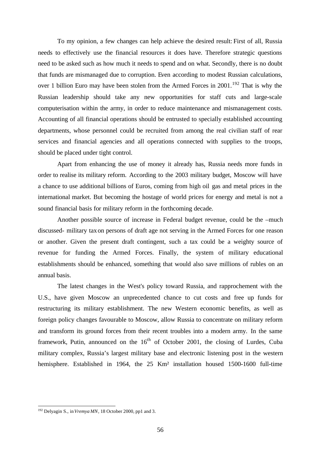To my opinion, a few changes can help achieve the desired result: First of all, Russia needs to effectively use the financial resources it does have. Therefore strategic questions need to be asked such as how much it needs to spend and on what. Secondly, there is no doubt that funds are mismanaged due to corruption. Even according to modest Russian calculations, over 1 billion Euro may have been stolen from the Armed Forces in  $2001$ .<sup>192</sup> That is why the Russian leadership should take any new opportunities for staff cuts and large-scale computerisation within the army, in order to reduce maintenance and mismanagement costs. Accounting of all financial operations should be entrusted to specially established accounting departments, whose personnel could be recruited from among the real civilian staff of rear services and financial agencies and all operations connected with supplies to the troops, should be placed under tight control.

Apart from enhancing the use of money it already has, Russia needs more funds in order to realise its military reform. According to the 2003 military budget, Moscow will have a chance to use additional billions of Euros, coming from high oil gas and metal prices in the international market. But becoming the hostage of world prices for energy and metal is not a sound financial basis for military reform in the forthcoming decade.

Another possible source of increase in Federal budget revenue, could be the –much discussed- military taxon persons of draft age not serving in the Armed Forces for one reason or another. Given the present draft contingent, such a tax could be a weighty source of revenue for funding the Armed Forces. Finally, the system of military educational establishments should be enhanced, something that would also save millions of rubles on an annual basis.

The latest changes in the West's policy toward Russia, and rapprochement with the U.S., have given Moscow an unprecedented chance to cut costs and free up funds for restructuring its military establishment. The new Western economic benefits, as well as foreign policy changes favourable to Moscow, allow Russia to concentrate on military reform and transform its ground forces from their recent troubles into a modern army. In the same framework, Putin, announced on the  $16<sup>th</sup>$  of October 2001, the closing of Lurdes, Cuba military complex, Russia's largest military base and electronic listening post in the western hemisphere. Established in 1964, the 25 Km² installation housed 1500-1600 full-time

<sup>192</sup> Delyagin S., in *Vremya MN*, 18 October 2000, pp1 and 3.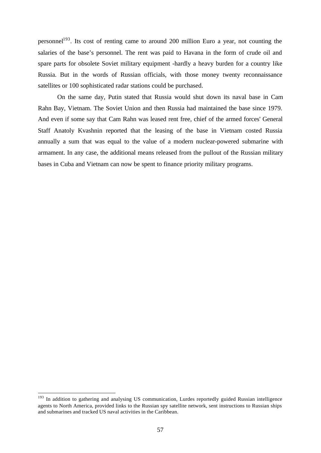personnel<sup>193</sup>. Its cost of renting came to around 200 million Euro a year, not counting the salaries of the base's personnel. The rent was paid to Havana in the form of crude oil and spare parts for obsolete Soviet military equipment -hardly a heavy burden for a country like Russia. But in the words of Russian officials, with those money twenty reconnaissance satellites or 100 sophisticated radar stations could be purchased.

On the same day, Putin stated that Russia would shut down its naval base in Cam Rahn Bay, Vietnam. The Soviet Union and then Russia had maintained the base since 1979. And even if some say that Cam Rahn was leased rent free, chief of the armed forces' General Staff Anatoly Kvashnin reported that the leasing of the base in Vietnam costed Russia annually a sum that was equal to the value of a modern nuclear-powered submarine with armament. In any case, the additional means released from the pullout of the Russian military bases in Cuba and Vietnam can now be spent to finance priority military programs.

<sup>&</sup>lt;sup>193</sup> In addition to gathering and analysing US communication, Lurdes reportedly guided Russian intelligence agents to North America, provided links to the Russian spy satellite network, sent instructions to Russian ships and submarines and tracked US naval activities in the Caribbean.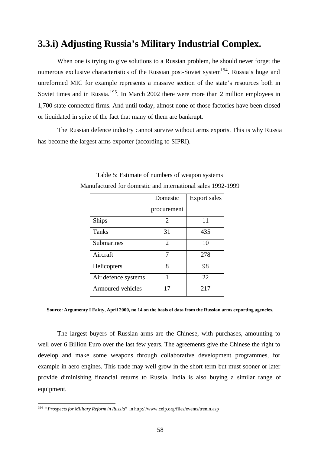# **3.3.i) Adjusting Russia's Military Industrial Complex.**

When one is trying to give solutions to a Russian problem, he should never forget the numerous exclusive characteristics of the Russian post-Soviet system<sup>194</sup>. Russia's huge and unreformed MIC for example represents a massive section of the state's resources both in Soviet times and in Russia.<sup>195</sup>. In March 2002 there were more than 2 million employees in 1,700 state-connected firms. And until today, almost none of those factories have been closed or liquidated in spite of the fact that many of them are bankrupt.

The Russian defence industry cannot survive without arms exports. This is why Russia has become the largest arms exporter (according to SIPRI).

|                     | Domestic       | <b>Export sales</b> |
|---------------------|----------------|---------------------|
|                     | procurement    |                     |
| <b>Ships</b>        | 2              | 11                  |
| <b>Tanks</b>        | 31             | 435                 |
| <b>Submarines</b>   | $\overline{2}$ | 10                  |
| Aircraft            |                | 278                 |
| Helicopters         | 8              | 98                  |
| Air defence systems | 1              | 22                  |
| Armoured vehicles   | 17             | 217                 |

Table 5: Estimate of numbers of weapon systems Manufactured for domestic and international sales 1992-1999

**Source: Argumenty I Fakty, April 2000, no 14 on the basis of data from the Russian arms exporting agencies.**

The largest buyers of Russian arms are the Chinese, with purchases, amounting to well over 6 Billion Euro over the last few years. The agreements give the Chinese the right to develop and make some weapons through collaborative development programmes, for example in aero engines. This trade may well grow in the short term but must sooner or later provide diminishing financial returns to Russia. India is also buying a similar range of equipment.

 194 "*Prospects for Military Reform in Russia*" in http:/ /www.ceip.org/files/events/trenin.asp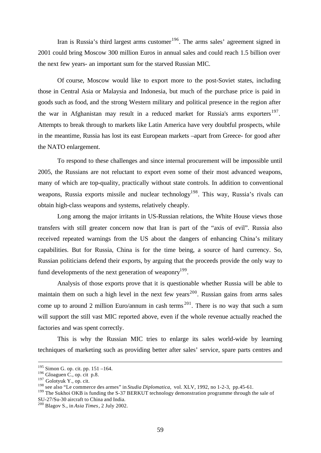Iran is Russia's third largest arms customer $196$ . The arms sales' agreement signed in 2001 could bring Moscow 300 million Euros in annual sales and could reach 1.5 billion over the next few years- an important sum for the starved Russian MIC.

Of course, Moscow would like to export more to the post-Soviet states, including those in Central Asia or Malaysia and Indonesia, but much of the purchase price is paid in goods such as food, and the strong Western military and political presence in the region after the war in Afghanistan may result in a reduced market for Russia's arms exporters<sup>197</sup>. Attempts to break through to markets like Latin America have very doubtful prospects, while in the meantime, Russia has lost its east European markets –apart from Greece- for good after the NATO enlargement.

To respond to these challenges and since internal procurement will be impossible until 2005, the Russians are not reluctant to export even some of their most advanced weapons, many of which are top-quality, practically without state controls. In addition to conventional weapons, Russia exports missile and nuclear technology<sup>198</sup>. This way, Russia's rivals can obtain high-class weapons and systems, relatively cheaply.

Long among the major irritants in US-Russian relations, the White House views those transfers with still greater concern now that Iran is part of the "axis of evil". Russia also received repeated warnings from the US about the dangers of enhancing China's military capabilities. But for Russia, China is for the time being, a source of hard currency. So, Russian politicians defend their exports, by arguing that the proceeds provide the only way to fund developments of the next generation of weaponry<sup>199</sup>.

Analysis of those exports prove that it is questionable whether Russia will be able to maintain them on such a high level in the next few years<sup>200</sup>. Russian gains from arms sales come up to around 2 million Euro/annum in cash terms  $^{201}$ . There is no way that such a sum will support the still vast MIC reported above, even if the whole revenue actually reached the factories and was spent correctly.

This is why the Russian MIC tries to enlarge its sales world-wide by learning techniques of marketing such as providing better after sales' service, spare parts centres and

 $195$  Simon G. op. cit. pp. 151 –164.

 $196$  Gloaguen C., op. cit p.8.

<sup>&</sup>lt;sup>197</sup> Golotyuk Y., op. cit.

<sup>198</sup> see also "Le commerce des armes" in *Studia Diplomatica*, vol. XLV, 1992, no 1-2-3, pp.45-61.

<sup>&</sup>lt;sup>199</sup> The Sukhoi OKB is funding the S-37 BERKUT technology demonstration programme through the sale of SU-27/Su-30 aircraft to China and India.

<sup>200</sup> Blagov S., in *Asia Times*, 2 July 2002.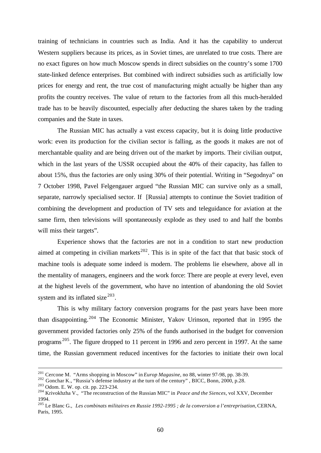training of technicians in countries such as India. And it has the capability to undercut Western suppliers because its prices, as in Soviet times, are unrelated to true costs. There are no exact figures on how much Moscow spends in direct subsidies on the country's some 1700 state-linked defence enterprises. But combined with indirect subsidies such as artificially low prices for energy and rent, the true cost of manufacturing might actually be higher than any profits the country receives. The value of return to the factories from all this much-heralded trade has to be heavily discounted, especially after deducting the shares taken by the trading companies and the State in taxes.

The Russian MIC has actually a vast excess capacity, but it is doing little productive work: even its production for the civilian sector is falling, as the goods it makes are not of merchantable quality and are being driven out of the market by imports. Their civilian output, which in the last years of the USSR occupied about the 40% of their capacity, has fallen to about 15%, thus the factories are only using 30% of their potential. Writing in "Segodnya" on 7 October 1998, Pavel Felgengauer argued "the Russian MIC can survive only as a small, separate, narrowly specialised sector. If [Russia] attempts to continue the Soviet tradition of combining the development and production of TV sets and teleguidance for aviation at the same firm, then televisions will spontaneously explode as they used to and half the bombs will miss their targets".

Experience shows that the factories are not in a condition to start new production aimed at competing in civilian markets<sup>202</sup>. This is in spite of the fact that that basic stock of machine tools is adequate some indeed is modern. The problems lie elsewhere, above all in the mentality of managers, engineers and the work force: There are people at every level, even at the highest levels of the government, who have no intention of abandoning the old Soviet system and its inflated size  $203$ .

This is why military factory conversion programs for the past years have been more than disappointing.<sup>204</sup> The Economic Minister, Yakov Urinson, reported that in 1995 the government provided factories only 25% of the funds authorised in the budget for conversion programs <sup>205</sup>. The figure dropped to 11 percent in 1996 and zero percent in 1997. At the same time, the Russian government reduced incentives for the factories to initiate their own local

<sup>201</sup> Cercone M. "Arms shopping in Moscow" in *Europ Magasine*, no 88, winter 97-98, pp. 38-39.

<sup>&</sup>lt;sup>202</sup> Gonchar K., "Russia's defense industry at the turn of the century", BICC, Bonn, 2000, p.28.

<sup>203</sup> Odom. E. W. op. cit. pp. 223-234.

<sup>204</sup> Krivokhzha V., "The reconstruction of the Russian MIC" in *Peace and the Siences*, vol XXV, December 1994.

<sup>205</sup> Le Blanc G., *Les combinats militaires en Russie 1992-1995 ; de la conversion a l'entreprisation,* CERNA, Paris, 1995.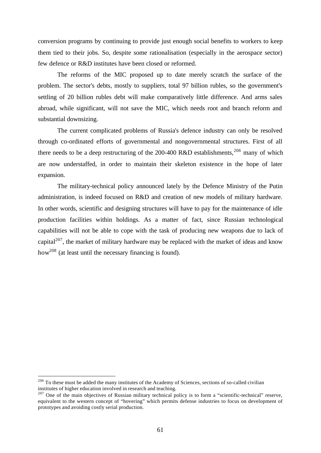conversion programs by continuing to provide just enough social benefits to workers to keep them tied to their jobs. So, despite some rationalisation (especially in the aerospace sector) few defence or R&D institutes have been closed or reformed.

The reforms of the MIC proposed up to date merely scratch the surface of the problem. The sector's debts, mostly to suppliers, total 97 billion rubles, so the government's settling of 20 billion rubles debt will make comparatively little difference. And arms sales abroad, while significant, will not save the MIC, which needs root and branch reform and substantial downsizing.

The current complicated problems of Russia's defence industry can only be resolved through co-ordinated efforts of governmental and nongovernmental structures. First of all there needs to be a deep restructuring of the 200-400 R&D establishments,  $206$  many of which are now understaffed, in order to maintain their skeleton existence in the hope of later expansion.

The military-technical policy announced lately by the Defence Ministry of the Putin administration, is indeed focused on R&D and creation of new models of military hardware. In other words, scientific and designing structures will have to pay for the maintenance of idle production facilities within holdings. As a matter of fact, since Russian technological capabilities will not be able to cope with the task of producing new weapons due to lack of capital<sup>207</sup>, the market of military hardware may be replaced with the market of ideas and know how<sup>208</sup> (at least until the necessary financing is found).

 $206$  To these must be added the many institutes of the Academy of Sciences, sections of so-called civilian institutes of higher education involved in research and teaching.

<sup>&</sup>lt;sup>207</sup> One of the main objectives of Russian military technical policy is to form a "scientific-technical" reserve, equivalent to the western concept of "hovering" which permits defense industries to focus on development of prototypes and avoiding costly serial production.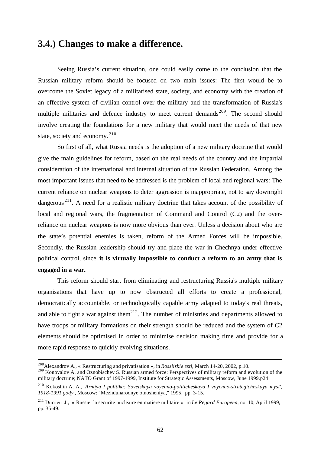## **3.4.) Changes to make a difference.**

Seeing Russia's current situation, one could easily come to the conclusion that the Russian military reform should be focused on two main issues: The first would be to overcome the Soviet legacy of a militarised state, society, and economy with the creation of an effective system of civilian control over the military and the transformation of Russia's multiple militaries and defence industry to meet current demands<sup>209</sup>. The second should involve creating the foundations for a new military that would meet the needs of that new state, society and economy. <sup>210</sup>

So first of all, what Russia needs is the adoption of a new military doctrine that would give the main guidelines for reform, based on the real needs of the country and the impartial consideration of the international and internal situation of the Russian Federation. Among the most important issues that need to be addressed is the problem of local and regional wars: The current reliance on nuclear weapons to deter aggression is inappropriate, not to say downright dangerous<sup>211</sup>. A need for a realistic military doctrine that takes account of the possibility of local and regional wars, the fragmentation of Command and Control (C2) and the overreliance on nuclear weapons is now more obvious than ever. Unless a decision about who are the state's potential enemies is taken, reform of the Armed Forces will be impossible. Secondly, the Russian leadership should try and place the war in Chechnya under effective political control, since **it is virtually impossible to conduct a reform to an army that is engaged in a war.**

This reform should start from eliminating and restructuring Russia's multiple military organisations that have up to now obstructed all efforts to create a professional, democratically accountable, or technologically capable army adapted to today's real threats, and able to fight a war against them<sup>212</sup>. The number of ministries and departments allowed to have troops or military formations on their strength should be reduced and the system of C2 elements should be optimised in order to minimise decision making time and provide for a more rapid response to quickly evolving situations.

<sup>208</sup>Alexandrov A., « Restructuring and privatisation »*,* in *Rossiiskie esti*, March 14-20, 2002, p.10.

<sup>&</sup>lt;sup>209</sup> Konovalov A. and Oznobischev S. Russian armed force: Perspectives of military reform and evolution of the military doctrine; NATO Grant of 1997-1999, Institute for Strategic Assessments, Moscow, June 1999.p24

<sup>210</sup> Kokoshin A. A., *Armiya I politika: Sovetskaya voyenno-politicheskaya I voyenno-strategicheskaya mysl', 1918-1991 gody* , Moscow: "Mezhdunarodnye otnosheniya," 1995, pp. 3-15.

<sup>211</sup> Durrieu J., « Russie: la securite nucleaire en matiere militaire » in *Le Regard Europeen*, no. 10, April 1999, pp. 35-49.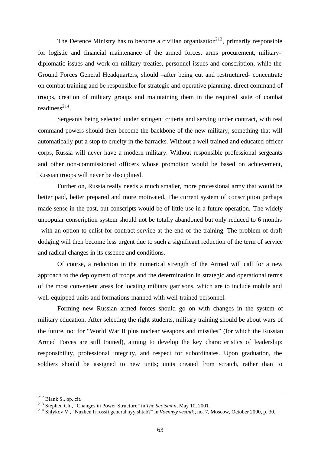The Defence Ministry has to become a civilian organisation<sup>213</sup>, primarily responsible for logistic and financial maintenance of the armed forces, arms procurement, militarydiplomatic issues and work on military treaties, personnel issues and conscription, while the Ground Forces General Headquarters, should –after being cut and restructured- concentrate on combat training and be responsible for strategic and operative planning, direct command of troops, creation of military groups and maintaining them in the required state of combat readiness $^{214}$ .

Sergeants being selected under stringent criteria and serving under contract, with real command powers should then become the backbone of the new military, something that will automatically put a stop to cruelty in the barracks. Without a well trained and educated officer corps, Russia will never have a modern military. Without responsible professional sergeants and other non-commissioned officers whose promotion would be based on achievement, Russian troops will never be disciplined.

Further on, Russia really needs a much smaller, more professional army that would be better paid, better prepared and more motivated. The current system of conscription perhaps made sense in the past, but conscripts would be of little use in a future operation. The widely unpopular conscription system should not be totally abandoned but only reduced to 6 months –with an option to enlist for contract service at the end of the training. The problem of draft dodging will then become less urgent due to such a significant reduction of the term of service and radical changes in its essence and conditions.

Of course, a reduction in the numerical strength of the Armed will call for a new approach to the deployment of troops and the determination in strategic and operational terms of the most convenient areas for locating military garrisons, which are to include mobile and well-equipped units and formations manned with well-trained personnel.

Forming new Russian armed forces should go on with changes in the system of military education. After selecting the right students, military training should be about wars of the future, not for "World War II plus nuclear weapons and missiles" (for which the Russian Armed Forces are still trained), aiming to develop the key characteristics of leadership: responsibility, professional integrity, and respect for subordinates. Upon graduation, the soldiers should be assigned to new units; units created from scratch, rather than to

 $212$  Blank S., op. cit.

<sup>213</sup> Stephen Ch., "Changes in Power Structure" in *The Scotsman*, May 10, 2001.

<sup>214</sup> Shlykov V., "Nuzhen li rossii general'nyy shtab?" in *Voennyy vestnik* , no. 7, Moscow, October 2000, p. 30.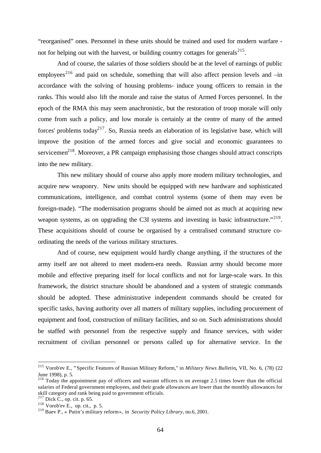"reorganised" ones. Personnel in these units should be trained and used for modern warfare not for helping out with the harvest, or building country cottages for generals $^{215}$ .

And of course, the salaries of those soldiers should be at the level of earnings of public employees<sup>216</sup> and paid on schedule, something that will also affect pension levels and  $-\text{in}$ accordance with the solving of housing problems- induce young officers to remain in the ranks. This would also lift the morale and raise the status of Armed Forces personnel. In the epoch of the RMA this may seem anachronistic, but the restoration of troop morale will only come from such a policy, and low morale is certainly at the centre of many of the armed forces' problems today<sup>217</sup>. So, Russia needs an elaboration of its legislative base, which will improve the position of the armed forces and give social and economic guarantees to servicemen $2^{18}$ . Moreover, a PR campaign emphasising those changes should attract conscripts into the new military.

This new military should of course also apply more modern military technologies, and acquire new weaponry. New units should be equipped with new hardware and sophisticated communications, intelligence, and combat control systems (some of them may even be foreign-made). "The modernisation programs should be aimed not as much at acquiring new weapon systems, as on upgrading the C3I systems and investing in basic infrastructure."<sup>219</sup>. These acquisitions should of course be organised by a centralised command structure coordinating the needs of the various military structures.

And of course, new equipment would hardly change anything, if the structures of the army itself are not altered to meet modern-era needs. Russian army should become more mobile and effective preparing itself for local conflicts and not for large-scale wars. In this framework, the district structure should be abandoned and a system of strategic commands should be adopted. These administrative independent commands should be created for specific tasks, having authority over all matters of military supplies, including procurement of equipment and food, construction of military facilities, and so on. Such administrations should be staffed with personnel from the respective supply and finance services, with wider recruitment of civilian personnel or persons called up for alternative service. In the

<sup>215</sup> Vorob'ev E., **"**Specific Features of Russian Military Reform," in *Military News Bulletin,* VII, No. 6, (78) (22 June 1998), p. 5.

<sup>&</sup>lt;sup>216</sup> Today the appointment pay of officers and warrant officers is on average 2.5 times lower than the official salaries of Federal government employees, and their grade allowances are lower than the monthly allowances for skill category and rank being paid to government officials.

 $2^{17}$  Dick C., op. cit. p. 65.

 $218$  Vorob'ev E., op. cit., p. 5.

<sup>219</sup> Baev P., « Putin's military reform »*,* in *Security Policy Library,* no.6, 2001.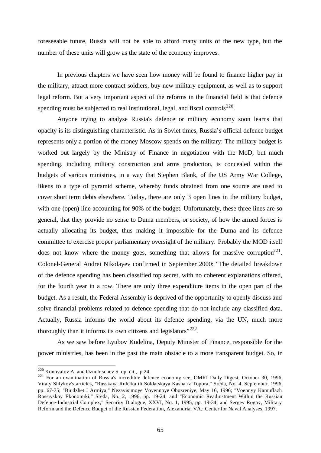foreseeable future, Russia will not be able to afford many units of the new type, but the number of these units will grow as the state of the economy improves.

In previous chapters we have seen how money will be found to finance higher pay in the military, attract more contract soldiers, buy new military equipment, as well as to support legal reform. But a very important aspect of the reforms in the financial field is that defence spending must be subjected to real institutional, legal, and fiscal controls<sup>220</sup>.

Anyone trying to analyse Russia's defence or military economy soon learns that opacity is its distinguishing characteristic. As in Soviet times, Russia's official defence budget represents only a portion of the money Moscow spends on the military: The military budget is worked out largely by the Ministry of Finance in negotiation with the MoD, but much spending, including military construction and arms production, is concealed within the budgets of various ministries, in a way that Stephen Blank, of the US Army War College, likens to a type of pyramid scheme, whereby funds obtained from one source are used to cover short term debts elsewhere. Today, there are only 3 open lines in the military budget, with one (open) line accounting for 90% of the budget. Unfortunately, these three lines are so general, that they provide no sense to Duma members, or society, of how the armed forces is actually allocating its budget, thus making it impossible for the Duma and its defence committee to exercise proper parliamentary oversight of the military. Probably the MOD itself does not know where the money goes, something that allows for massive corruption<sup>221</sup>. Colonel-General Andrei Nikolayev confirmed in September 2000: "The detailed breakdown of the defence spending has been classified top secret, with no coherent explanations offered, for the fourth year in a row. There are only three expenditure items in the open part of the budget. As a result, the Federal Assembly is deprived of the opportunity to openly discuss and solve financial problems related to defence spending that do not include any classified data. Actually, Russia informs the world about its defence spending, via the UN, much more thoroughly than it informs its own citizens and legislators"<sup>222</sup>.

As we saw before Lyubov Kudelina, Deputy Minister of Finance, responsible for the power ministries, has been in the past the main obstacle to a more transparent budget. So, in

 $220$  Konovalov A. and Oznobischev S. op. cit., p. 24.

<sup>&</sup>lt;sup>221</sup> For an examination of Russia's incredible defence economy see, OMRI Daily Digest, October 30, 1996, Vitaly Shlykov's articles, "Russkaya Ruletka ili Soldatskaya Kasha iz Topora," Sreda, No. 4, September, 1996, pp. 67-75; "Biudzhet I Armiya," Nezavisimoye Voyennoye Obozreniye, May 16, 1996; "Voennyy Kamuflazh Rossiyskoy Ekonomiki," Sreda, No. 2, 1996, pp. 19-24; and "Economic Readjustment Within the Russian Defence-Industrial Complex," Security Dialogue, XXVI, No. 1, 1995, pp. 19-34; and Sergey Rogov, Military Reform and the Defence Budget of the Russian Federation, Alexandria, VA.: Center for Naval Analyses, 1997.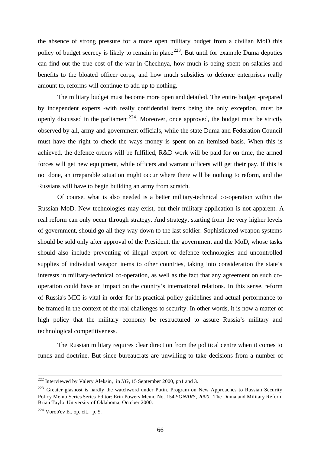the absence of strong pressure for a more open military budget from a civilian MoD this policy of budget secrecy is likely to remain in place<sup>223</sup>. But until for example Duma deputies can find out the true cost of the war in Chechnya, how much is being spent on salaries and benefits to the bloated officer corps, and how much subsidies to defence enterprises really amount to, reforms will continue to add up to nothing.

The military budget must become more open and detailed. The entire budget -prepared by independent experts -with really confidential items being the only exception, must be openly discussed in the parliament<sup>224</sup>. Moreover, once approved, the budget must be strictly observed by all, army and government officials, while the state Duma and Federation Council must have the right to check the ways money is spent on an itemised basis. When this is achieved, the defence orders will be fulfilled, R&D work will be paid for on time, the armed forces will get new equipment, while officers and warrant officers will get their pay. If this is not done, an irreparable situation might occur where there will be nothing to reform, and the Russians will have to begin building an army from scratch.

Of course, what is also needed is a better military-technical co-operation within the Russian MoD. New technologies may exist, but their military application is not apparent. A real reform can only occur through strategy. And strategy, starting from the very higher levels of government, should go all they way down to the last soldier: Sophisticated weapon systems should be sold only after approval of the President, the government and the MoD, whose tasks should also include preventing of illegal export of defence technologies and uncontrolled supplies of individual weapon items to other countries, taking into consideration the state's interests in military-technical co-operation, as well as the fact that any agreement on such cooperation could have an impact on the country's international relations. In this sense, reform of Russia's MIC is vital in order for its practical policy guidelines and actual performance to be framed in the context of the real challenges to security. In other words, it is now a matter of high policy that the military economy be restructured to assure Russia's military and technological competitiveness.

The Russian military requires clear direction from the political centre when it comes to funds and doctrine. But since bureaucrats are unwilling to take decisions from a number of

<sup>222</sup> Interviewed by Valery Aleksin, in *NG,* 15 September 2000, pp1 and 3.

<sup>&</sup>lt;sup>223</sup> Greater glasnost is hardly the watchword under Putin. Program on New Approaches to Russian Security Policy Memo Series Series Editor: Erin Powers Memo No. 154 *PONARS, 2000.* The Duma and Military Reform Brian Taylor University of Oklahoma, October 2000.

 $224$  Vorob'ev E., op. cit., p. 5.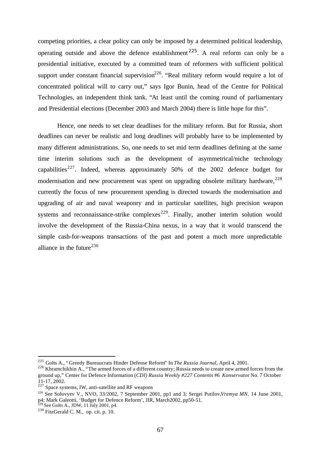competing priorities, a clear policy can only be imposed by a determined political leadership, operating outside and above the defence establishment <sup>225</sup>. A real reform can only be a presidential initiative, executed by a committed team of reformers with sufficient political support under constant financial supervision $^{226}$ . "Real military reform would require a lot of concentrated political will to carry out," says Igor Bunin, head of the Centre for Political Technologies, an independent think tank. "At least until the coming round of parliamentary and Presidential elections (December 2003 and March 2004) there is little hope for this".

Hence, one needs to set clear deadlines for the military reform. But for Russia, short deadlines can never be realistic and long deadlines will probably have to be implemented by many different administrations. So, one needs to set mid term deadlines defining at the same time interim solutions such as the development of asymmetrical/niche technology capabilities<sup>227</sup>. Indeed, whereas approximately 50% of the 2002 defence budget for modernisation and new procurement was spent on upgrading obsolete military hardware,  $228$ currently the focus of new procurement spending is directed towards the modernisation and upgrading of air and naval weaponry and in particular satellites, high precision weapon systems and reconnaissance-strike complexes<sup>229</sup>. Finally, another interim solution would involve the development of the Russia-China nexus, in a way that it would transcend the simple cash-for-weapons transactions of the past and potent a much more unpredictable alliance in the future $^{230}$ 

<sup>225</sup> Golts A., " Greedy Bureaucrats Hinder Defense Reform" In *The Russia Journal*, April 4, 2001.

<sup>&</sup>lt;sup>226</sup> Khramchikhin A., "The armed forces of a different country; Russia needs to create new armed forces from the ground up," Center for Defence Information (*CDI) Russia Weekly #227 Contents* #6 *Konservato*r No. 7 October 11-17, 2002.

 $227$  Space systems, IW, anti-satellite and RF weapons

<sup>228</sup> See Solovyev V., NVO, 33/2002, 7 September 2001, pp1 and 3; Sergei Putilov,*Vremya MN*, 14 June 2001, p4; Mark Galeotti, 'Budget for Defence Reform', JIR, March2002, pp50-51.  $\overline{P}$  See Golts A., JDW, 11 July 2001, p4.

<sup>230</sup> FitzGerald C. M., op. cit. p. 10.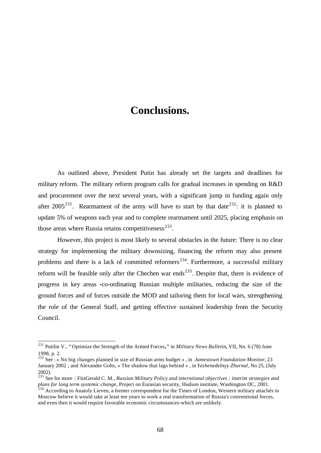# **Conclusions.**

As outlined above, President Putin has already set the targets and deadlines for military reform. The military reform program calls for gradual increases in spending on R&D and procurement over the next several years, with a significant jump in funding again only after 2005<sup>231</sup>. Rearmament of the army will have to start by that date<sup>232</sup>: it is planned to update 5% of weapons each year and to complete rearmament until 2025, placing emphasis on those areas where Russia retains competitiveness $^{233}$ .

However, this project is most likely to several obstacles in the future: There is no clear strategy for implementing the military downsizing, financing the reform may also present problems and there is a lack of committed reformers<sup>234</sup>. Furthermore, a successful military reform will be feasible only after the Chechen war ends<sup>235</sup>. Despite that, there is evidence of progress in key areas -co-ordinating Russian multiple militaries, reducing the size of the ground forces and of forces outside the MOD and tailoring them for local wars, strengthening the role of the General Staff, and getting effective sustained leadership from the Security Council.

j

<sup>231</sup> Putilin V., **"**Optimize the Strength of the Armed Forces**,"** in *Military News Bulletin,* VII, No. 6 (78) June 1998, p. 2.

<sup>232</sup> See : « No big changes planned in size of Russian arms budget » , in *Jamestown Foundation Monitor*, 23 January 2002 ; and Alexander Golts, « The shadow that lags behind » , in *Yezhenedelnyy Zhurnal*, No 25, (July 2002).

<sup>233</sup> See for more : FitzGerald C. M., *Russian Military Policy and interntional objectives : interim strategies and plans for long term systemic change*, Project on Eurasian security, Hudson institute, Washington DC, 2001. plans for long term systemic change, Project on Eurasian security, Hudson institute, Washington DC, 2001.<br><sup>234</sup> According to Anatoly Lieven, a former correspondent for the Times of London, Western military attachés in

Moscow believe it would take at least ten years to work a real transformation of Russia's conventional forces, and even then it would require favorable economic circumstances-which are unlikely.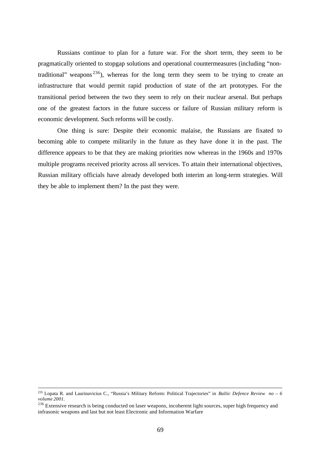Russians continue to plan for a future war. For the short term, they seem to be pragmatically oriented to stopgap solutions and operational countermeasures (including "nontraditional" weapons<sup>236</sup>), whereas for the long term they seem to be trying to create an infrastructure that would permit rapid production of state of the art prototypes. For the transitional period between the two they seem to rely on their nuclear arsenal. But perhaps one of the greatest factors in the future success or failure of Russian military reform is economic development. Such reforms will be costly.

One thing is sure: Despite their economic malaise, the Russians are fixated to becoming able to compete militarily in the future as they have done it in the past. The difference appears to be that they are making priorities now whereas in the 1960s and 1970s multiple programs received priority across all services. To attain their international objectives, Russian military officials have already developed both interim an long-term strategies. Will they be able to implement them? In the past they were.

<sup>235</sup> Lopata R. and Laurinavicius C., "Russia's Military Reform: Political Trajectories" in *Baltic Defence Review no – 6 volume 2001.*

<sup>&</sup>lt;sup>236</sup> Extensive research is being conducted on laser weapons, incoherent light sources, super high frequency and infrasonic weapons and last but not least Electronic and Information Warfare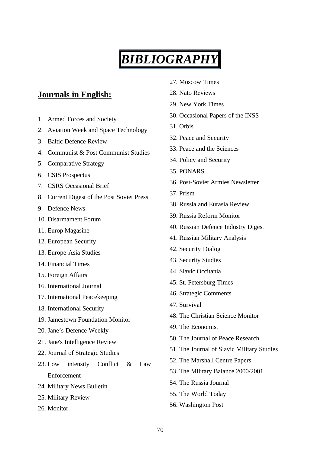# *BIBLIOGRAPHY*

## **Journals in English:**

- 1. Armed Forces and Society
- 2. Aviation Week and Space Technology
- 3. Baltic Defence Review
- 4. Communist & Post Communist Studies
- 5. Comparative Strategy
- 6. CSIS Prospectus
- 7. CSRS Occasional Brief
- 8. Current Digest of the Post Soviet Press
- 9. Defence News
- 10. Disarmament Forum
- 11. Europ Magasine
- 12. European Security
- 13. Europe-Asia Studies
- 14. Financial Times
- 15. Foreign Affairs
- 16. International Journal
- 17. International Peacekeeping
- 18. International Security
- 19. Jamestown Foundation Monitor
- 20. Jane's Defence Weekly
- 21. Jane's Intelligence Review
- 22. Journal of Strategic Studies
- 23. Low intensity Conflict & Law Enforcement
- 24. Military News Bulletin
- 25. Military Review
- 26. Monitor
- 27. Moscow Times
- 28. Nato Reviews
- 29. New York Times
- 30. Occasional Papers of the INSS
- 31. Orbis
- 32. Peace and Security
- 33. Peace and the Sciences
- 34. Policy and Security
- 35. PONARS
- 36. Post-Soviet Armies Newsletter
- 37. Prism
- 38. Russia and Eurasia Review.
- 39. Russia Reform Monitor
- 40. Russian Defence Industry Digest
- 41. Russian Military Analysis
- 42. Security Dialog
- 43. Security Studies
- 44. Slavic Occitania
- 45. St. Petersburg Times
- 46. Strategic Comments
- 47. Survival
- 48. The Christian Science Monitor
- 49. The Economist
- 50. The Journal of Peace Research
- 51. The Journal of Slavic Military Studies
- 52. The Marshall Centre Papers.
- 53. The Military Balance 2000/2001
- 54. The Russia Journal
- 55. The World Today
- 56. Washington Post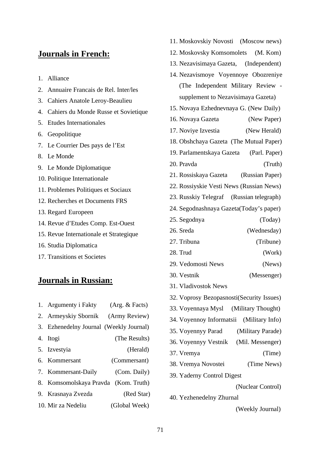## **Journals in French:**

- 1. Alliance
- 2. Annuaire Francais de Rel. Inter/les
- 3. Cahiers Anatole Leroy-Beaulieu
- 4. Cahiers du Monde Russe et Sovietique
- 5. Etudes Internationales
- 6. Geopolitique
- 7. Le Courrier Des pays de l'Est
- 8. Le Monde
- 9. Le Monde Diplomatique
- 10. Politique Internationale
- 11. Problemes Politiques et Sociaux
- 12. Recherches et Documents FRS
- 13. Regard Europeen
- 14. Revue d'Etudes Comp. Est-Ouest
- 15. Revue Internationale et Strategique
- 16. Studia Diplomatica
- 17. Transitions et Societes

## **Journals in Russian:**

1. Argumenty i Fakty (Arg. & Facts) 2. Armeyskiy Sbornik (Army Review) 3. Ezhenedelny Journal (Weekly Journal) 4. Itogi (The Results) 5. Izvestyia (Herald) 6. Kommersant (Commersant) 7. Kommersant-Daily (Com. Daily) 8. Komsomolskaya Pravda (Kom. Truth) 9. Krasnaya Zvezda (Red Star) 10. Mir za Nedeliu (Global Week)

- 11. Moskovskiy Novosti (Moscow news)
- 12. Moskovsky Komsomolets (M. Kom)
- 13. Nezavisimaya Gazeta, (Independent)
- 14. Nezavismoye Voyennoye Obozreniye (The Independent Military Review supplement to Nezavisimaya Gazeta)
- 15. Novaya Ezhednevnaya G. (New Daily)
- 16. Novaya Gazeta (New Paper)
- 17. Noviye Izvestia (New Herald)
- 18. Obshchaya Gazeta (The Mutual Paper)
- 19. Parlamentskaya Gazeta (Parl. Paper)
- 20. Pravda (Truth)
- 21. Rossiskaya Gazeta (Russian Paper)
- 22. Rossiyskie Vesti News (Russian News)
- 23. Russkiy Telegraf (Russian telegraph)
- 24. Segodnashnaya Gazeta(Today's paper)
- 25. Segodnya (Today)
- 26. Sreda (Wednesday)
- 27. Tribuna (Tribune)
- 28. Trud (Work)
- 29. Vedomosti News (News)
- 30. Vestnik (Messenger)
- 31. Vladivostok News
- 32. Voprosy Bezopasnosti(Security Issues)
- 33. Voyennaya Mysl (Military Thought)
- 34. Voyennoy Informatsii (Military Info)
- 35. Voyennyy Parad (Military Parade)
- 36. Voyennyy Vestnik (Mil. Messenger)
- 37. Vremya (Time)
- 38. Vremya Novostei (Time News)
- 39. Yaderny Control Digest

(Nuclear Control)

40. Yezhenedelny Zhurnal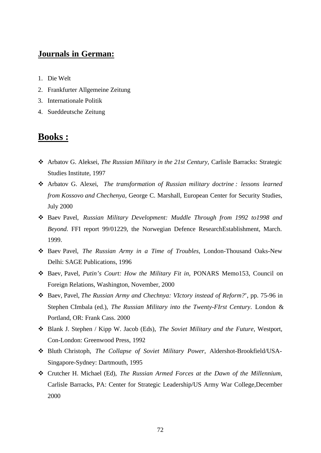## **Journals in German:**

- 1. Die Welt
- 2. Frankfurter Allgemeine Zeitung
- 3. Internationale Politik
- 4. Sueddeutsche Zeitung

## **Books :**

- v Arbatov G. Aleksei, *The Russian Military in the 21st Century,* Carlisle Barracks: Strategic Studies Institute, 1997
- v Arbatov G. Alexei, *The transformation of Russian military doctrine : lessons learned from Kossovo and Chechenya*, George C. Marshall, European Center for Security Studies, July 2000
- v Baev Pavel, *Russian Military Development: Muddle Through from 1992 to1998 and Beyond*. FFI report 99/01229, the Norwegian Defence ResearchEstablishment, March. 1999.
- v Baev Pavel, *The Russian Army in a Time of Troubles*, London-Thousand Oaks-New Delhi: SAGE Publications, 1996
- v Baev, Pavel, *Putin's Court: How the Military Fit in*, PONARS Memo153, Council on Foreign Relations, Washington, November, 2000
- v Baev, Pavel, *The Russian Army and Chechnya: VIctory instead of Reform?*', pp. 75-96 in Stephen CImbala (ed.), *The Russian Military into the Twenty-FIrst Century*. London & Portland, OR: Frank Cass. 2000
- v Blank J. Stephen / Kipp W. Jacob (Eds), *The Soviet Military and the Future*, Westport, Con-London: Greenwood Press, 1992
- v Bluth Christoph, *The Collapse of Soviet Military Power*, Aldershot-Brookfield/USA-Singapore-Sydney: Dartmouth, 1995
- v Crutcher H. Michael (Ed), *The Russian Armed Forces at the Dawn of the Millennium*, Carlisle Barracks, PA: Center for Strategic Leadership/US Army War College,December 2000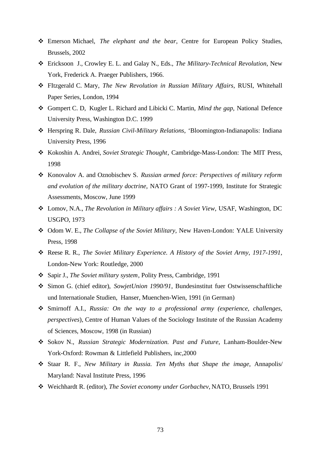- v Emerson Michael, *The elephant and the bear*, Centre for European Policy Studies, Brussels, 2002
- v Ericksoon J., Crowley E. L. and Galay N., Eds., *The Military-Technical Revolution*, New York, Frederick A. Praeger Publishers, 1966.
- v FItzgerald C. Mary, *The New Revolution in Russian Military Affairs*, RUSI, Whitehall Paper Series, London, 1994
- v Gompert C. D, Kugler L. Richard and Libicki C. Martin, *Mind the gap,* National Defence University Press, Washington D.C. 1999
- v Herspring R. Dale, *Russian Civil-Military Relations*, 'Bloomington-Indianapolis: Indiana University Press, 1996
- v Kokoshin A. Andrei, *Soviet Strategic Thought*, Cambridge-Mass-London: The MIT Press, 1998
- v Konovalov A. and Oznobischev S. *Russian armed force: Perspectives of military reform and evolution of the military doctrine*, NATO Grant of 1997-1999, Institute for Strategic Assessments, Moscow, June 1999
- v Lomov, N.A., *The Revolution in Military affairs : A Soviet View*, USAF, Washington, DC USGPO, 1973
- v Odom W. E., *The Collapse of the Soviet Military*, New Haven-London: YALE University Press, 1998
- v Reese R. R., *The Soviet Military Experience. A History of the Soviet Army, 1917-1991*, London-New York: Routledge, 2000
- v Sapir J., *The Soviet military system*, Polity Press, Cambridge, 1991
- v Simon G. (chief editor), *SowjetUnion 1990/91*, Bundesinstitut fuer Ostwissenschaftliche und Internationale Studien, Hanser, Muenchen-Wien, 1991 (in German)
- v Smirnoff A.I., *Russia: On the way to a professional army (experience, challenges, perspectives*), Centre of Human Values of the Sociology Institute of the Russian Academy of Sciences, Moscow, 1998 (in Russian)
- v Sokov N., *Russian Strategic Modernization. Past and Future*, Lanham-Boulder-New York-Oxford: Rowman & Littlefield Publishers, inc,2000
- v Staar R. F., *New Military in Russia. Ten Myths that Shape the image*, Annapolis/ Maryland: Naval Institute Press, 1996
- v Weichhardt R. (editor), *The Soviet economy under Gorbachev,* NATO, Brussels 1991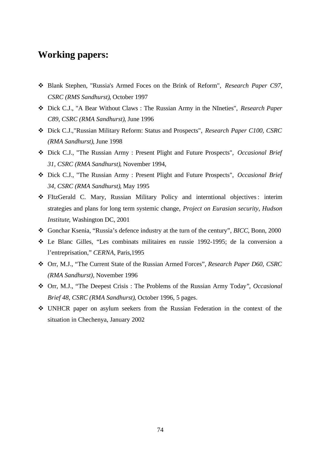## **Working papers:**

- v Blank Stephen, "Russia's Armed Foces on the Brink of Reform", *Research Paper C97, CSRC (RMS Sandhurst)*, October 1997
- v Dick C.J., "A Bear Without Claws : The Russian Army in the NIneties", *Research Paper C89, CSRC (RMA Sandhurst)*, June 1996
- v Dick C.J.,"Russian Military Reform: Status and Prospects", *Research Paper C100, CSRC (RMA Sandhurst)*, June 1998
- v Dick C.J., "The Russian Army : Present Plight and Future Prospects", *Occasional Brief 31, CSRC (RMA Sandhurst)*, November 1994,
- v Dick C.J., "The Russian Army : Present Plight and Future Prospects", *Occasional Brief 34, CSRC (RMA Sandhurst)*, May 1995
- v FItzGerald C. Mary, Russian Military Policy and interntional objectives : interim strategies and plans for long term systemic change, *Project on Eurasian security, Hudson Institute*, Washington DC, 2001
- v Gonchar Ksenia, "Russia's defence industry at the turn of the century", *BICC*, Bonn, 2000
- v Le Blanc Gilles, "Les combinats militaires en russie 1992-1995; de la conversion a l'entreprisation," *CERNA*, Paris,1995
- v Orr, M.J., "The Current State of the Russian Armed Forces", *Research Paper D60, CSRC (RMA Sandhurst),* November 1996
- v Orr, M.J., "The Deepest Crisis : The Problems of the Russian Army Today*"*, *Occasional Brief 48, CSRC (RMA Sandhurst)*, October 1996, 5 pages.
- v UNHCR paper on asylum seekers from the Russian Federation in the context of the situation in Chechenya, January 2002